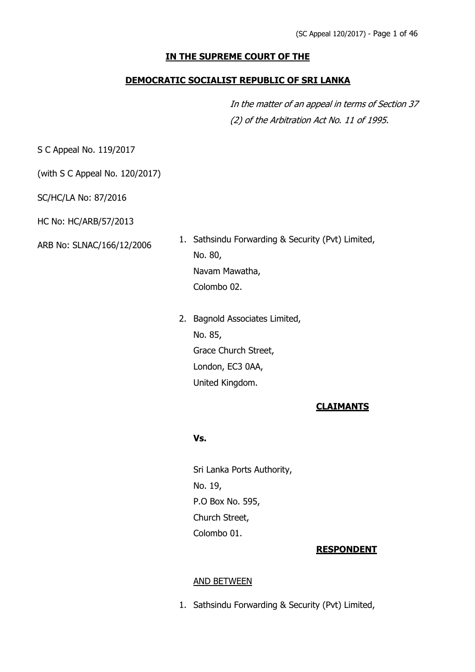### **IN THE SUPREME COURT OF THE**

#### **DEMOCRATIC SOCIALIST REPUBLIC OF SRI LANKA**

In the matter of an appeal in terms of Section 37 (2) of the Arbitration Act No. 11 of 1995.

S C Appeal No. 119/2017

(with S C Appeal No. 120/2017)

SC/HC/LA No: 87/2016

HC No: HC/ARB/57/2013

ARB No: SLNAC/166/12/2006

1. Sathsindu Forwarding & Security (Pvt) Limited, No. 80, Navam Mawatha, Colombo 02.

2. Bagnold Associates Limited, No. 85, Grace Church Street, London, EC3 0AA, United Kingdom.

#### **CLAIMANTS**

### **Vs.**

Sri Lanka Ports Authority, No. 19, P.O Box No. 595, Church Street, Colombo 01.

#### **RESPONDENT**

#### AND BETWEEN

1. Sathsindu Forwarding & Security (Pvt) Limited,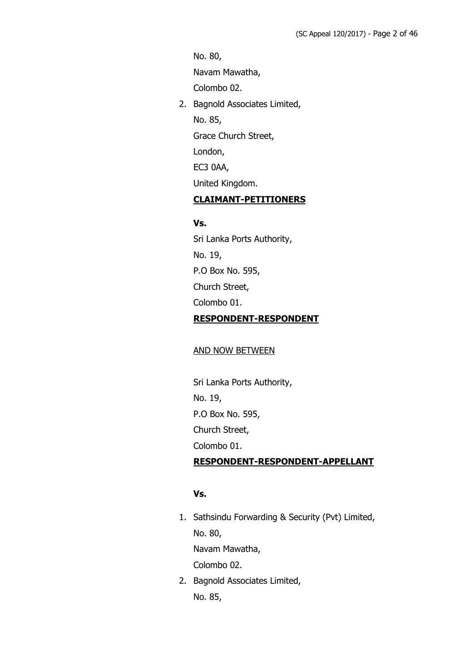No. 80,

Navam Mawatha,

Colombo 02.

2. Bagnold Associates Limited,

No. 85,

Grace Church Street,

London,

EC3 0AA,

United Kingdom.

# **CLAIMANT-PETITIONERS**

# **Vs.**

Sri Lanka Ports Authority, No. 19, P.O Box No. 595, Church Street, Colombo 01. **RESPONDENT-RESPONDENT**

#### AND NOW BETWEEN

Sri Lanka Ports Authority, No. 19, P.O Box No. 595, Church Street, Colombo 01. **RESPONDENT-RESPONDENT-APPELLANT**

# **Vs.**

- 1. Sathsindu Forwarding & Security (Pvt) Limited, No. 80, Navam Mawatha, Colombo 02.
- 2. Bagnold Associates Limited, No. 85,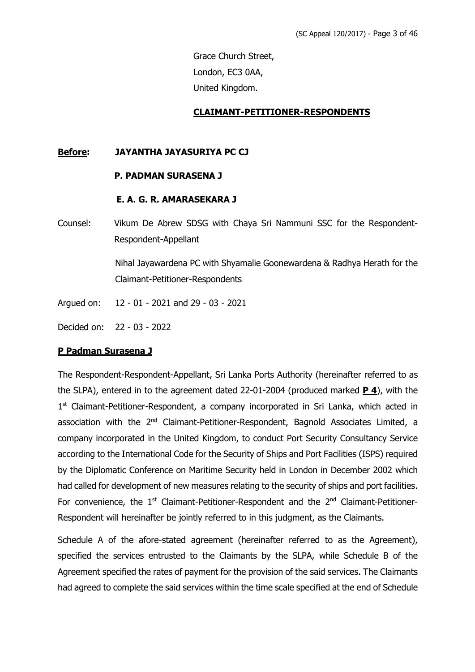Grace Church Street, London, EC3 0AA, United Kingdom.

#### **CLAIMANT-PETITIONER-RESPONDENTS**

#### **Before: JAYANTHA JAYASURIYA PC CJ**

#### **P. PADMAN SURASENA J**

#### **E. A. G. R. AMARASEKARA J**

Counsel: Vikum De Abrew SDSG with Chaya Sri Nammuni SSC for the Respondent-Respondent-Appellant

> Nihal Jayawardena PC with Shyamalie Goonewardena & Radhya Herath for the Claimant-Petitioner-Respondents

Argued on: 12 - 01 - 2021 and 29 - 03 - 2021

Decided on: 22 - 03 - 2022

#### **P Padman Surasena J**

The Respondent-Respondent-Appellant, Sri Lanka Ports Authority (hereinafter referred to as the SLPA), entered in to the agreement dated 22-01-2004 (produced marked **P 4**), with the 1<sup>st</sup> Claimant-Petitioner-Respondent, a company incorporated in Sri Lanka, which acted in association with the 2<sup>nd</sup> Claimant-Petitioner-Respondent, Bagnold Associates Limited, a company incorporated in the United Kingdom, to conduct Port Security Consultancy Service according to the International Code for the Security of Ships and Port Facilities (ISPS) required by the Diplomatic Conference on Maritime Security held in London in December 2002 which had called for development of new measures relating to the security of ships and port facilities. For convenience, the  $1<sup>st</sup>$  Claimant-Petitioner-Respondent and the  $2<sup>nd</sup>$  Claimant-Petitioner-Respondent will hereinafter be jointly referred to in this judgment, as the Claimants.

Schedule A of the afore-stated agreement (hereinafter referred to as the Agreement), specified the services entrusted to the Claimants by the SLPA, while Schedule B of the Agreement specified the rates of payment for the provision of the said services. The Claimants had agreed to complete the said services within the time scale specified at the end of Schedule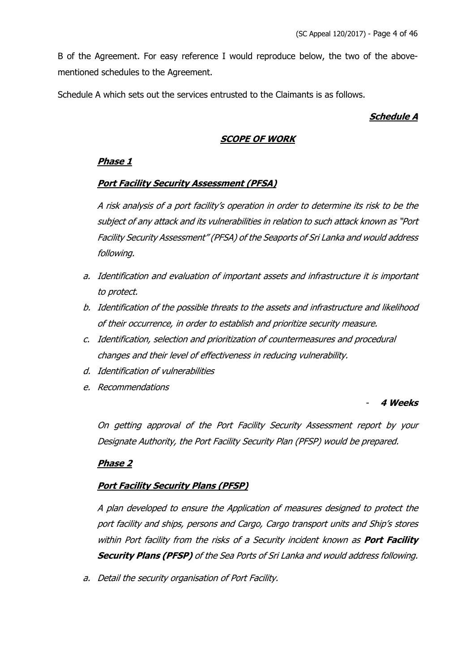B of the Agreement. For easy reference I would reproduce below, the two of the abovementioned schedules to the Agreement.

Schedule A which sets out the services entrusted to the Claimants is as follows.

# **Schedule A**

# **SCOPE OF WORK**

# **Phase 1**

### **Port Facility Security Assessment (PFSA)**

A risk analysis of a port facility's operation in order to determine its risk to be the subject of any attack and its vulnerabilities in relation to such attack known as "Port Facility Security Assessment" (PFSA) of the Seaports of Sri Lanka and would address following.

- a. Identification and evaluation of important assets and infrastructure it is important to protect.
- b. Identification of the possible threats to the assets and infrastructure and likelihood of their occurrence, in order to establish and prioritize security measure.
- c. Identification, selection and prioritization of countermeasures and procedural changes and their level of effectiveness in reducing vulnerability.
- d. Identification of vulnerabilities
- e. Recommendations

#### - **4 Weeks**

On getting approval of the Port Facility Security Assessment report by your Designate Authority, the Port Facility Security Plan (PFSP) would be prepared.

# **Phase 2**

# **Port Facility Security Plans (PFSP)**

A plan developed to ensure the Application of measures designed to protect the port facility and ships, persons and Cargo, Cargo transport units and Ship's stores within Port facility from the risks of a Security incident known as **Port Facility Security Plans (PFSP)** of the Sea Ports of Sri Lanka and would address following.

a. Detail the security organisation of Port Facility.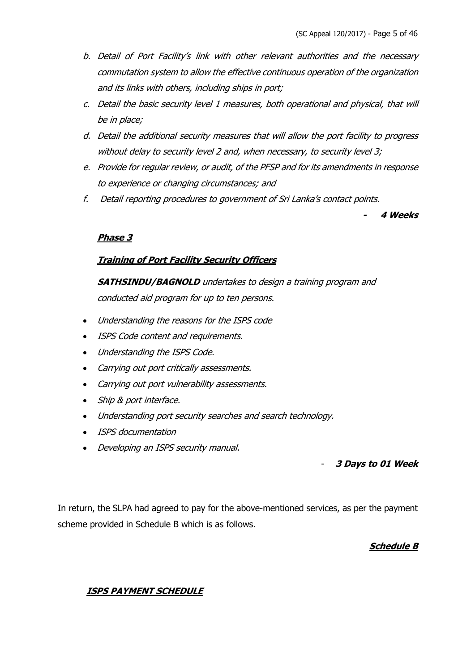- b. Detail of Port Facility's link with other relevant authorities and the necessary commutation system to allow the effective continuous operation of the organization and its links with others, including ships in port;
- c. Detail the basic security level 1 measures, both operational and physical, that will be in place;
- d. Detail the additional security measures that will allow the port facility to progress without delay to security level 2 and, when necessary, to security level 3;
- e. Provide for regular review, or audit, of the PFSP and for its amendments in response to experience or changing circumstances; and
- f. Detail reporting procedures to government of Sri Lanka's contact points.

**4 Weeks**

**-**

# **Phase 3**

### **Training of Port Facility Security Officers**

**SATHSINDU/BAGNOLD** undertakes to design a training program and conducted aid program for up to ten persons.

- Understanding the reasons for the ISPS code
- ISPS Code content and requirements.
- Understanding the ISPS Code.
- Carrying out port critically assessments.
- Carrying out port vulnerability assessments.
- Ship & port interface.
- Understanding port security searches and search technology.
- ISPS documentation
- Developing an ISPS security manual.

# - **3 Days to 01 Week**

In return, the SLPA had agreed to pay for the above-mentioned services, as per the payment scheme provided in Schedule B which is as follows.

# **Schedule B**

# **ISPS PAYMENT SCHEDULE**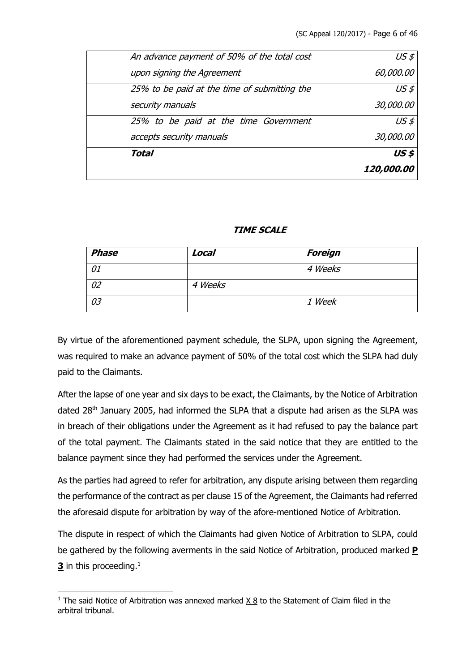|                                              | <i><b>120,000.00</b></i> |
|----------------------------------------------|--------------------------|
| Total                                        | US\$                     |
| accepts security manuals                     | 30,000.00                |
| 25% to be paid at the time Government        | $US \n 5$                |
| security manuals                             | 30,000.00                |
| 25% to be paid at the time of submitting the | $US \n 5$                |
| upon signing the Agreement                   | 60,000.00                |
| An advance payment of 50% of the total cost  | $US \n 5$                |

### **TIME SCALE**

| <b>Phase</b> | Local   | <b>Foreign</b> |
|--------------|---------|----------------|
| 01           |         | 4 Weeks        |
| 02           | 4 Weeks |                |
| 03           |         | 1 Week         |

By virtue of the aforementioned payment schedule, the SLPA, upon signing the Agreement, was required to make an advance payment of 50% of the total cost which the SLPA had duly paid to the Claimants.

After the lapse of one year and six days to be exact, the Claimants, by the Notice of Arbitration dated 28<sup>th</sup> January 2005, had informed the SLPA that a dispute had arisen as the SLPA was in breach of their obligations under the Agreement as it had refused to pay the balance part of the total payment. The Claimants stated in the said notice that they are entitled to the balance payment since they had performed the services under the Agreement.

As the parties had agreed to refer for arbitration, any dispute arising between them regarding the performance of the contract as per clause 15 of the Agreement, the Claimants had referred the aforesaid dispute for arbitration by way of the afore-mentioned Notice of Arbitration.

The dispute in respect of which the Claimants had given Notice of Arbitration to SLPA, could be gathered by the following averments in the said Notice of Arbitration, produced marked **P 3** in this proceeding.<sup>1</sup>

<sup>&</sup>lt;sup>1</sup> The said Notice of Arbitration was annexed marked  $X_8$  to the Statement of Claim filed in the arbitral tribunal.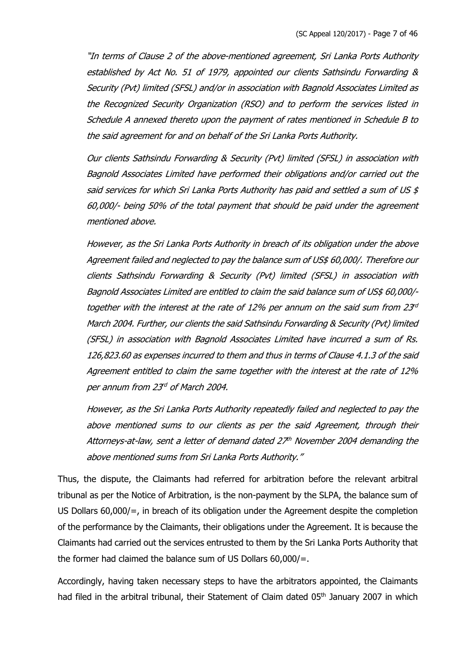"In terms of Clause 2 of the above-mentioned agreement, Sri Lanka Ports Authority established by Act No. 51 of 1979, appointed our clients Sathsindu Forwarding & Security (Pvt) limited (SFSL) and/or in association with Bagnold Associates Limited as the Recognized Security Organization (RSO) and to perform the services listed in Schedule A annexed thereto upon the payment of rates mentioned in Schedule B to the said agreement for and on behalf of the Sri Lanka Ports Authority.

Our clients Sathsindu Forwarding & Security (Pvt) limited (SFSL) in association with Bagnold Associates Limited have performed their obligations and/or carried out the said services for which Sri Lanka Ports Authority has paid and settled a sum of US \$ 60,000/- being 50% of the total payment that should be paid under the agreement mentioned above.

However, as the Sri Lanka Ports Authority in breach of its obligation under the above Agreement failed and neglected to pay the balance sum of US\$ 60,000/. Therefore our clients Sathsindu Forwarding & Security (Pvt) limited (SFSL) in association with Bagnold Associates Limited are entitled to claim the said balance sum of US\$ 60,000/together with the interest at the rate of 12% per annum on the said sum from  $23<sup>rd</sup>$ March 2004. Further, our clients the said Sathsindu Forwarding & Security (Pvt) limited (SFSL) in association with Bagnold Associates Limited have incurred a sum of Rs. 126,823.60 as expenses incurred to them and thus in terms of Clause 4.1.3 of the said Agreement entitled to claim the same together with the interest at the rate of 12% per annum from 23<sup>rd</sup> of March 2004.

However, as the Sri Lanka Ports Authority repeatedly failed and neglected to pay the above mentioned sums to our clients as per the said Agreement, through their Attorneys-at-law, sent a letter of demand dated  $27<sup>th</sup>$  November 2004 demanding the above mentioned sums from Sri Lanka Ports Authority."

Thus, the dispute, the Claimants had referred for arbitration before the relevant arbitral tribunal as per the Notice of Arbitration, is the non-payment by the SLPA, the balance sum of US Dollars 60,000/=, in breach of its obligation under the Agreement despite the completion of the performance by the Claimants, their obligations under the Agreement. It is because the Claimants had carried out the services entrusted to them by the Sri Lanka Ports Authority that the former had claimed the balance sum of US Dollars 60,000/=.

Accordingly, having taken necessary steps to have the arbitrators appointed, the Claimants had filed in the arbitral tribunal, their Statement of Claim dated 05<sup>th</sup> January 2007 in which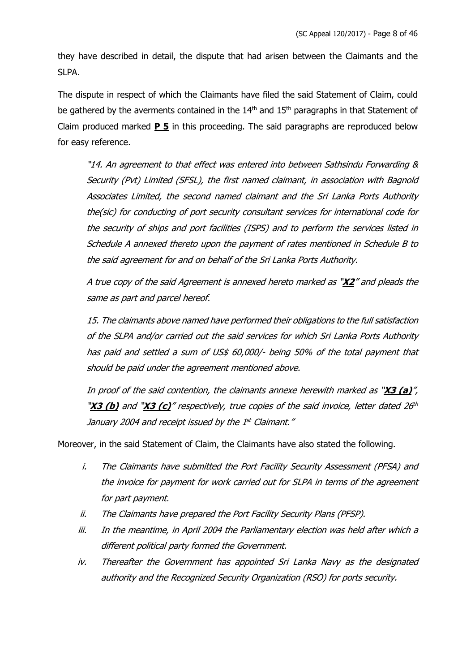they have described in detail, the dispute that had arisen between the Claimants and the SLPA.

The dispute in respect of which the Claimants have filed the said Statement of Claim, could be gathered by the averments contained in the 14<sup>th</sup> and 15<sup>th</sup> paragraphs in that Statement of Claim produced marked **P 5** in this proceeding. The said paragraphs are reproduced below for easy reference.

"14. An agreement to that effect was entered into between Sathsindu Forwarding & Security (Pvt) Limited (SFSL), the first named claimant, in association with Bagnold Associates Limited, the second named claimant and the Sri Lanka Ports Authority the(sic) for conducting of port security consultant services for international code for the security of ships and port facilities (ISPS) and to perform the services listed in Schedule A annexed thereto upon the payment of rates mentioned in Schedule B to the said agreement for and on behalf of the Sri Lanka Ports Authority.

A true copy of the said Agreement is annexed hereto marked as "**X2**" and pleads the same as part and parcel hereof.

15. The claimants above named have performed their obligations to the full satisfaction of the SLPA and/or carried out the said services for which Sri Lanka Ports Authority has paid and settled a sum of US\$ 60,000/- being 50% of the total payment that should be paid under the agreement mentioned above.

In proof of the said contention, the claimants annexe herewith marked as "**X3 (a)**", "X3 (b) and "X3 (c)" respectively, true copies of the said invoice, letter dated 26<sup>th</sup> January 2004 and receipt issued by the 1st Claimant."

Moreover, in the said Statement of Claim, the Claimants have also stated the following.

- i. The Claimants have submitted the Port Facility Security Assessment (PFSA) and the invoice for payment for work carried out for SLPA in terms of the agreement for part payment.
- ii. The Claimants have prepared the Port Facility Security Plans (PFSP).
- iii. In the meantime, in April 2004 the Parliamentary election was held after which a different political party formed the Government.
- iv. Thereafter the Government has appointed Sri Lanka Navy as the designated authority and the Recognized Security Organization (RSO) for ports security.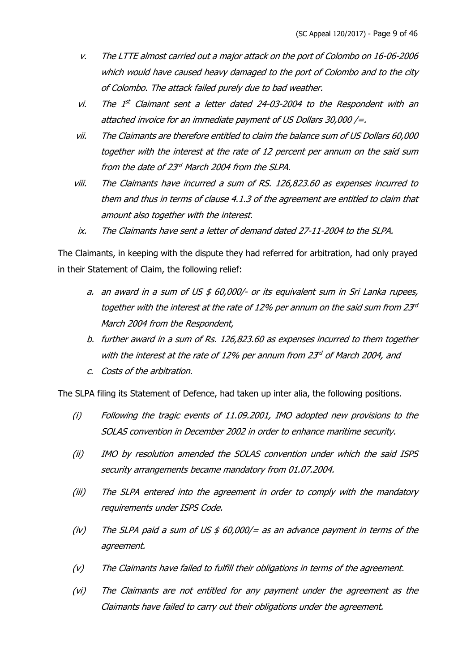- v. The LTTE almost carried out a major attack on the port of Colombo on 16-06-2006 which would have caused heavy damaged to the port of Colombo and to the city of Colombo. The attack failed purely due to bad weather.
- vi. The  $1^{st}$  Claimant sent a letter dated 24-03-2004 to the Respondent with an attached invoice for an immediate payment of US Dollars 30,000 /=.
- vii. The Claimants are therefore entitled to claim the balance sum of US Dollars 60,000 together with the interest at the rate of 12 percent per annum on the said sum from the date of 23<sup>rd</sup> March 2004 from the SLPA.
- viii. The Claimants have incurred a sum of RS. 126,823.60 as expenses incurred to them and thus in terms of clause 4.1.3 of the agreement are entitled to claim that amount also together with the interest.
- ix. The Claimants have sent a letter of demand dated 27-11-2004 to the SLPA.

The Claimants, in keeping with the dispute they had referred for arbitration, had only prayed in their Statement of Claim, the following relief:

- a. an award in a sum of US  $$60,000/$  or its equivalent sum in Sri Lanka rupees, together with the interest at the rate of 12% per annum on the said sum from  $23<sup>rd</sup>$ March 2004 from the Respondent,
- b. further award in a sum of Rs. 126,823.60 as expenses incurred to them together with the interest at the rate of 12% per annum from 23 $d$  of March 2004, and
- c. Costs of the arbitration.

The SLPA filing its Statement of Defence, had taken up inter alia, the following positions.

- (i) Following the tragic events of 11.09.2001, IMO adopted new provisions to the SOLAS convention in December 2002 in order to enhance maritime security.
- (ii) IMO by resolution amended the SOLAS convention under which the said ISPS security arrangements became mandatory from 01.07.2004.
- (iii) The SLPA entered into the agreement in order to comply with the mandatory requirements under ISPS Code.
- (iv) The SLPA paid a sum of US  $$60,000/=$  as an advance payment in terms of the agreement.
- (v) The Claimants have failed to fulfill their obligations in terms of the agreement.
- (vi) The Claimants are not entitled for any payment under the agreement as the Claimants have failed to carry out their obligations under the agreement.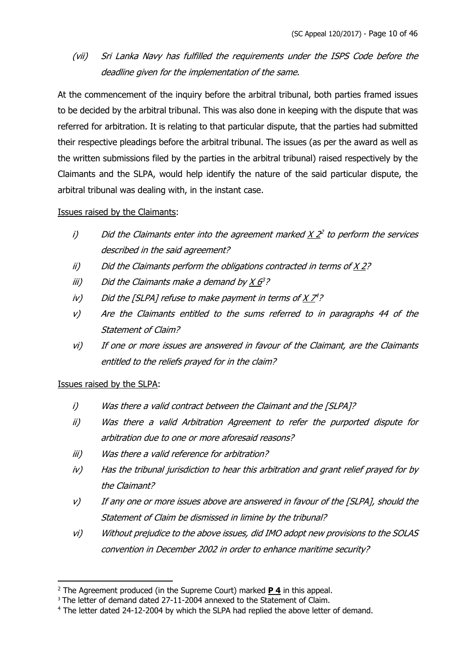# (vii) Sri Lanka Navy has fulfilled the requirements under the ISPS Code before the deadline given for the implementation of the same.

At the commencement of the inquiry before the arbitral tribunal, both parties framed issues to be decided by the arbitral tribunal. This was also done in keeping with the dispute that was referred for arbitration. It is relating to that particular dispute, that the parties had submitted their respective pleadings before the arbitral tribunal. The issues (as per the award as well as the written submissions filed by the parties in the arbitral tribunal) raised respectively by the Claimants and the SLPA, would help identify the nature of the said particular dispute, the arbitral tribunal was dealing with, in the instant case.

Issues raised by the Claimants:

- i) Did the Claimants enter into the agreement marked  $X$   $2<sup>2</sup>$  to perform the services described in the said agreement?
- ii) Did the Claimants perform the obligations contracted in terms of X 2?
- iii) Did the Claimants make a demand by  $X \hat{\theta}^2$ ?
- $iv$  Did the [SLPA] refuse to make payment in terms of X  $7<sup>4</sup>$ ?
- v) Are the Claimants entitled to the sums referred to in paragraphs 44 of the Statement of Claim?
- vi) If one or more issues are answered in favour of the Claimant, are the Claimants entitled to the reliefs prayed for in the claim?

# Issues raised by the SLPA:

- i) Was there a valid contract between the Claimant and the [SLPA]?
- ii) Was there a valid Arbitration Agreement to refer the purported dispute for arbitration due to one or more aforesaid reasons?
- iii) Was there a valid reference for arbitration?
- iv) Has the tribunal jurisdiction to hear this arbitration and grant relief prayed for by the Claimant?
- v) If any one or more issues above are answered in favour of the [SLPA], should the Statement of Claim be dismissed in limine by the tribunal?
- vi) Without prejudice to the above issues, did IMO adopt new provisions to the SOLAS convention in December 2002 in order to enhance maritime security?

<sup>2</sup> The Agreement produced (in the Supreme Court) marked **P 4** in this appeal.

<sup>&</sup>lt;sup>3</sup> The letter of demand dated 27-11-2004 annexed to the Statement of Claim.

<sup>4</sup> The letter dated 24-12-2004 by which the SLPA had replied the above letter of demand.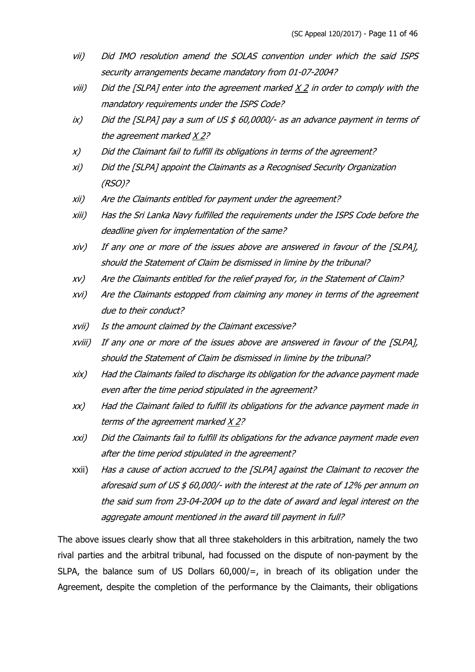- vii) Did IMO resolution amend the SOLAS convention under which the said ISPS security arrangements became mandatory from 01-07-2004?
- $viii)$  Did the [SLPA] enter into the agreement marked  $X$  2 in order to comply with the mandatory requirements under the ISPS Code?
- $ix$ ) Did the [SLPA] pay a sum of US  $$60,0000/3$  as an advance payment in terms of the agreement marked X 2?
- x) Did the Claimant fail to fulfill its obligations in terms of the agreement?
- xi) Did the [SLPA] appoint the Claimants as a Recognised Security Organization (RSO)?
- xii) Are the Claimants entitled for payment under the agreement?
- xiii) Has the Sri Lanka Navy fulfilled the requirements under the ISPS Code before the deadline given for implementation of the same?
- xiv) If any one or more of the issues above are answered in favour of the [SLPA], should the Statement of Claim be dismissed in limine by the tribunal?
- xv) Are the Claimants entitled for the relief prayed for, in the Statement of Claim?
- xvi) Are the Claimants estopped from claiming any money in terms of the agreement due to their conduct?
- xvii) Is the amount claimed by the Claimant excessive?
- xviii) If any one or more of the issues above are answered in favour of the [SLPA], should the Statement of Claim be dismissed in limine by the tribunal?
- xix) Had the Claimants failed to discharge its obligation for the advance payment made even after the time period stipulated in the agreement?
- xx) Had the Claimant failed to fulfill its obligations for the advance payment made in terms of the agreement marked X 2?
- xxi) Did the Claimants fail to fulfill its obligations for the advance payment made even after the time period stipulated in the agreement?
- xxii) Has a cause of action accrued to the [SLPA] against the Claimant to recover the aforesaid sum of US \$ 60,000/- with the interest at the rate of 12% per annum on the said sum from 23-04-2004 up to the date of award and legal interest on the aggregate amount mentioned in the award till payment in full?

The above issues clearly show that all three stakeholders in this arbitration, namely the two rival parties and the arbitral tribunal, had focussed on the dispute of non-payment by the SLPA, the balance sum of US Dollars 60,000/=, in breach of its obligation under the Agreement, despite the completion of the performance by the Claimants, their obligations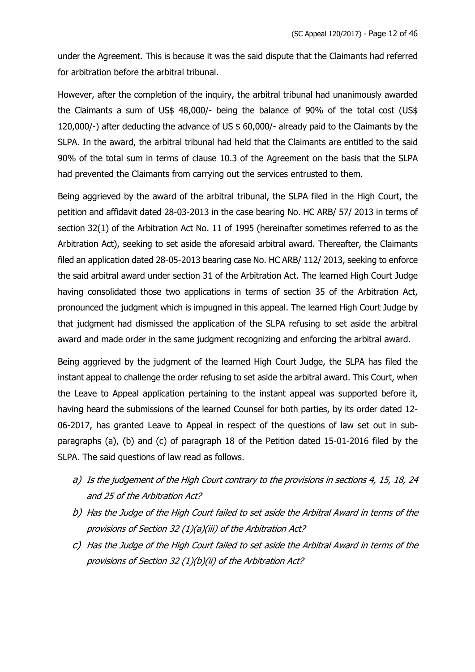under the Agreement. This is because it was the said dispute that the Claimants had referred for arbitration before the arbitral tribunal.

However, after the completion of the inquiry, the arbitral tribunal had unanimously awarded the Claimants a sum of US\$ 48,000/- being the balance of 90% of the total cost (US\$ 120,000/-) after deducting the advance of US \$ 60,000/- already paid to the Claimants by the SLPA. In the award, the arbitral tribunal had held that the Claimants are entitled to the said 90% of the total sum in terms of clause 10.3 of the Agreement on the basis that the SLPA had prevented the Claimants from carrying out the services entrusted to them.

Being aggrieved by the award of the arbitral tribunal, the SLPA filed in the High Court, the petition and affidavit dated 28-03-2013 in the case bearing No. HC ARB/ 57/ 2013 in terms of section 32(1) of the Arbitration Act No. 11 of 1995 (hereinafter sometimes referred to as the Arbitration Act), seeking to set aside the aforesaid arbitral award. Thereafter, the Claimants filed an application dated 28-05-2013 bearing case No. HC ARB/ 112/ 2013, seeking to enforce the said arbitral award under section 31 of the Arbitration Act. The learned High Court Judge having consolidated those two applications in terms of section 35 of the Arbitration Act, pronounced the judgment which is impugned in this appeal. The learned High Court Judge by that judgment had dismissed the application of the SLPA refusing to set aside the arbitral award and made order in the same judgment recognizing and enforcing the arbitral award.

Being aggrieved by the judgment of the learned High Court Judge, the SLPA has filed the instant appeal to challenge the order refusing to set aside the arbitral award. This Court, when the Leave to Appeal application pertaining to the instant appeal was supported before it, having heard the submissions of the learned Counsel for both parties, by its order dated 12- 06-2017, has granted Leave to Appeal in respect of the questions of law set out in subparagraphs (a), (b) and (c) of paragraph 18 of the Petition dated 15-01-2016 filed by the SLPA. The said questions of law read as follows.

- a) Is the judgement of the High Court contrary to the provisions in sections 4, 15, 18, 24 and 25 of the Arbitration Act?
- b) Has the Judge of the High Court failed to set aside the Arbitral Award in terms of the provisions of Section 32 (1)(a)(iii) of the Arbitration Act?
- c) Has the Judge of the High Court failed to set aside the Arbitral Award in terms of the provisions of Section 32 (1)(b)(ii) of the Arbitration Act?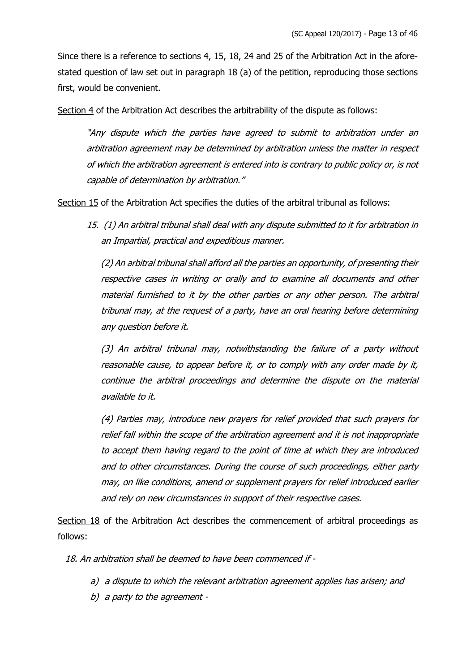Since there is a reference to sections 4, 15, 18, 24 and 25 of the Arbitration Act in the aforestated question of law set out in paragraph 18 (a) of the petition, reproducing those sections first, would be convenient.

Section 4 of the Arbitration Act describes the arbitrability of the dispute as follows:

"Any dispute which the parties have agreed to submit to arbitration under an arbitration agreement may be determined by arbitration unless the matter in respect of which the arbitration agreement is entered into is contrary to public policy or, is not capable of determination by arbitration."

Section 15 of the Arbitration Act specifies the duties of the arbitral tribunal as follows:

15. (1) An arbitral tribunal shall deal with any dispute submitted to it for arbitration in an Impartial, practical and expeditious manner.

(2) An arbitral tribunal shall afford all the parties an opportunity, of presenting their respective cases in writing or orally and to examine all documents and other material furnished to it by the other parties or any other person. The arbitral tribunal may, at the request of a party, have an oral hearing before determining any question before it.

(3) An arbitral tribunal may, notwithstanding the failure of a party without reasonable cause, to appear before it, or to comply with any order made by it, continue the arbitral proceedings and determine the dispute on the material available to it.

(4) Parties may, introduce new prayers for relief provided that such prayers for relief fall within the scope of the arbitration agreement and it is not inappropriate to accept them having regard to the point of time at which they are introduced and to other circumstances. During the course of such proceedings, either party may, on like conditions, amend or supplement prayers for relief introduced earlier and rely on new circumstances in support of their respective cases.

Section 18 of the Arbitration Act describes the commencement of arbitral proceedings as follows:

18. An arbitration shall be deemed to have been commenced if -

- a) a dispute to which the relevant arbitration agreement applies has arisen; and
- b) a party to the agreement -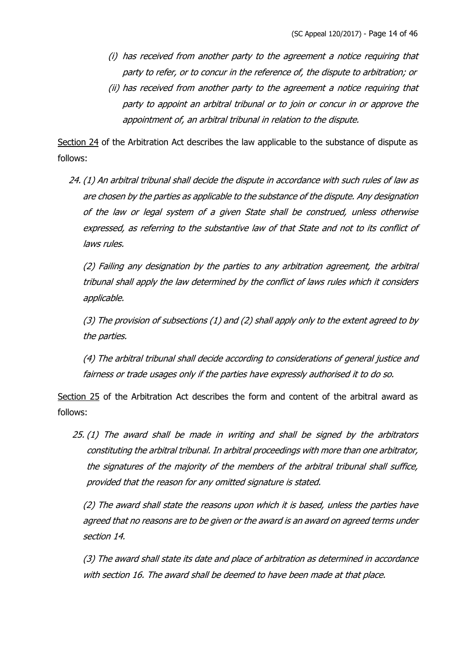- (i) has received from another party to the agreement a notice requiring that party to refer, or to concur in the reference of, the dispute to arbitration; or
- (ii) has received from another party to the agreement a notice requiring that party to appoint an arbitral tribunal or to join or concur in or approve the appointment of, an arbitral tribunal in relation to the dispute.

Section 24 of the Arbitration Act describes the law applicable to the substance of dispute as follows:

24. (1) An arbitral tribunal shall decide the dispute in accordance with such rules of law as are chosen by the parties as applicable to the substance of the dispute. Any designation of the law or legal system of a given State shall be construed, unless otherwise expressed, as referring to the substantive law of that State and not to its conflict of laws rules.

(2) Failing any designation by the parties to any arbitration agreement, the arbitral tribunal shall apply the law determined by the conflict of laws rules which it considers applicable.

(3) The provision of subsections (1) and (2) shall apply only to the extent agreed to by the parties.

(4) The arbitral tribunal shall decide according to considerations of general justice and fairness or trade usages only if the parties have expressly authorised it to do so.

Section 25 of the Arbitration Act describes the form and content of the arbitral award as follows:

25. (1) The award shall be made in writing and shall be signed by the arbitrators constituting the arbitral tribunal. In arbitral proceedings with more than one arbitrator, the signatures of the majority of the members of the arbitral tribunal shall suffice, provided that the reason for any omitted signature is stated.

(2) The award shall state the reasons upon which it is based, unless the parties have agreed that no reasons are to be given or the award is an award on agreed terms under section 14.

(3) The award shall state its date and place of arbitration as determined in accordance with section 16. The award shall be deemed to have been made at that place.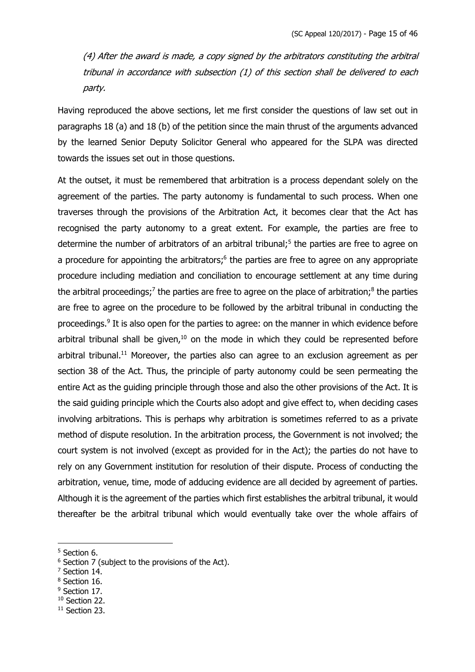(4) After the award is made, a copy signed by the arbitrators constituting the arbitral tribunal in accordance with subsection (1) of this section shall be delivered to each party.

Having reproduced the above sections, let me first consider the questions of law set out in paragraphs 18 (a) and 18 (b) of the petition since the main thrust of the arguments advanced by the learned Senior Deputy Solicitor General who appeared for the SLPA was directed towards the issues set out in those questions.

At the outset, it must be remembered that arbitration is a process dependant solely on the agreement of the parties. The party autonomy is fundamental to such process. When one traverses through the provisions of the Arbitration Act, it becomes clear that the Act has recognised the party autonomy to a great extent. For example, the parties are free to determine the number of arbitrators of an arbitral tribunal;<sup>5</sup> the parties are free to agree on a procedure for appointing the arbitrators; $6$  the parties are free to agree on any appropriate procedure including mediation and conciliation to encourage settlement at any time during the arbitral proceedings;<sup>7</sup> the parties are free to agree on the place of arbitration;<sup>8</sup> the parties are free to agree on the procedure to be followed by the arbitral tribunal in conducting the proceedings.<sup>9</sup> It is also open for the parties to agree: on the manner in which evidence before arbitral tribunal shall be given,<sup>10</sup> on the mode in which they could be represented before arbitral tribunal.<sup>11</sup> Moreover, the parties also can agree to an exclusion agreement as per section 38 of the Act. Thus, the principle of party autonomy could be seen permeating the entire Act as the guiding principle through those and also the other provisions of the Act. It is the said guiding principle which the Courts also adopt and give effect to, when deciding cases involving arbitrations. This is perhaps why arbitration is sometimes referred to as a private method of dispute resolution. In the arbitration process, the Government is not involved; the court system is not involved (except as provided for in the Act); the parties do not have to rely on any Government institution for resolution of their dispute. Process of conducting the arbitration, venue, time, mode of adducing evidence are all decided by agreement of parties. Although it is the agreement of the parties which first establishes the arbitral tribunal, it would thereafter be the arbitral tribunal which would eventually take over the whole affairs of

- <sup>7</sup> Section 14.
- <sup>8</sup> Section 16.
- <sup>9</sup> Section 17.

<sup>11</sup> Section 23.

<sup>5</sup> Section 6.

<sup>&</sup>lt;sup>6</sup> Section 7 (subject to the provisions of the Act).

<sup>&</sup>lt;sup>10</sup> Section 22.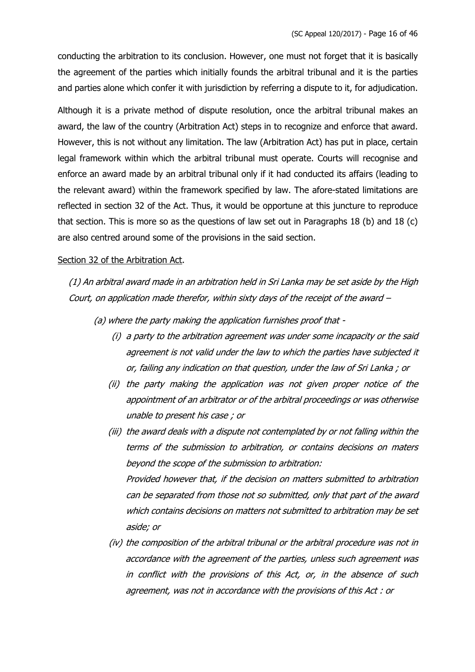conducting the arbitration to its conclusion. However, one must not forget that it is basically the agreement of the parties which initially founds the arbitral tribunal and it is the parties and parties alone which confer it with jurisdiction by referring a dispute to it, for adjudication.

Although it is a private method of dispute resolution, once the arbitral tribunal makes an award, the law of the country (Arbitration Act) steps in to recognize and enforce that award. However, this is not without any limitation. The law (Arbitration Act) has put in place, certain legal framework within which the arbitral tribunal must operate. Courts will recognise and enforce an award made by an arbitral tribunal only if it had conducted its affairs (leading to the relevant award) within the framework specified by law. The afore-stated limitations are reflected in section 32 of the Act. Thus, it would be opportune at this juncture to reproduce that section. This is more so as the questions of law set out in Paragraphs 18 (b) and 18 (c) are also centred around some of the provisions in the said section.

#### Section 32 of the Arbitration Act.

(1) An arbitral award made in an arbitration held in Sri Lanka may be set aside by the High Court, on application made therefor, within sixty days of the receipt of the award –

(a) where the party making the application furnishes proof that -

- (i) a party to the arbitration agreement was under some incapacity or the said agreement is not valid under the law to which the parties have subjected it or, failing any indication on that question, under the law of Sri Lanka ; or
- (ii) the party making the application was not given proper notice of the appointment of an arbitrator or of the arbitral proceedings or was otherwise unable to present his case ; or
- (iii) the award deals with a dispute not contemplated by or not falling within the terms of the submission to arbitration, or contains decisions on maters beyond the scope of the submission to arbitration: Provided however that, if the decision on matters submitted to arbitration can be separated from those not so submitted, only that part of the award which contains decisions on matters not submitted to arbitration may be set aside; or
- (iv) the composition of the arbitral tribunal or the arbitral procedure was not in accordance with the agreement of the parties, unless such agreement was in conflict with the provisions of this Act, or, in the absence of such agreement, was not in accordance with the provisions of this Act : or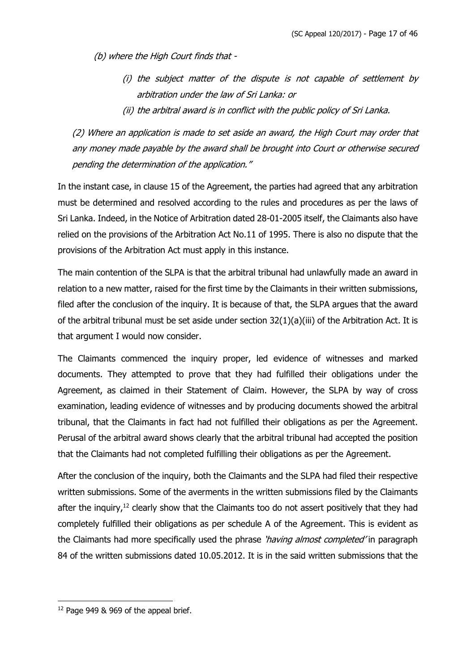(b) where the High Court finds that -

- (i) the subject matter of the dispute is not capable of settlement by arbitration under the law of Sri Lanka: or
- (ii) the arbitral award is in conflict with the public policy of Sri Lanka.

(2) Where an application is made to set aside an award, the High Court may order that any money made payable by the award shall be brought into Court or otherwise secured pending the determination of the application."

In the instant case, in clause 15 of the Agreement, the parties had agreed that any arbitration must be determined and resolved according to the rules and procedures as per the laws of Sri Lanka. Indeed, in the Notice of Arbitration dated 28-01-2005 itself, the Claimants also have relied on the provisions of the Arbitration Act No.11 of 1995. There is also no dispute that the provisions of the Arbitration Act must apply in this instance.

The main contention of the SLPA is that the arbitral tribunal had unlawfully made an award in relation to a new matter, raised for the first time by the Claimants in their written submissions, filed after the conclusion of the inquiry. It is because of that, the SLPA argues that the award of the arbitral tribunal must be set aside under section  $32(1)(a)(ii)$  of the Arbitration Act. It is that argument I would now consider.

The Claimants commenced the inquiry proper, led evidence of witnesses and marked documents. They attempted to prove that they had fulfilled their obligations under the Agreement, as claimed in their Statement of Claim. However, the SLPA by way of cross examination, leading evidence of witnesses and by producing documents showed the arbitral tribunal, that the Claimants in fact had not fulfilled their obligations as per the Agreement. Perusal of the arbitral award shows clearly that the arbitral tribunal had accepted the position that the Claimants had not completed fulfilling their obligations as per the Agreement.

After the conclusion of the inquiry, both the Claimants and the SLPA had filed their respective written submissions. Some of the averments in the written submissions filed by the Claimants after the inquiry, $^{12}$  clearly show that the Claimants too do not assert positively that they had completely fulfilled their obligations as per schedule A of the Agreement. This is evident as the Claimants had more specifically used the phrase 'having almost completed' in paragraph 84 of the written submissions dated 10.05.2012. It is in the said written submissions that the

<sup>&</sup>lt;sup>12</sup> Page 949 & 969 of the appeal brief.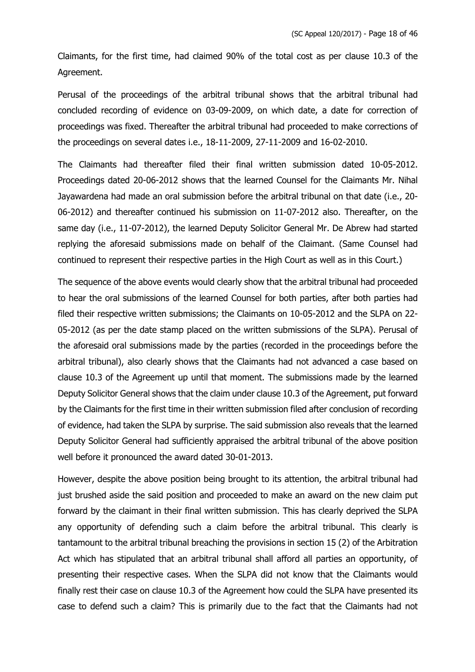Claimants, for the first time, had claimed 90% of the total cost as per clause 10.3 of the Agreement.

Perusal of the proceedings of the arbitral tribunal shows that the arbitral tribunal had concluded recording of evidence on 03-09-2009, on which date, a date for correction of proceedings was fixed. Thereafter the arbitral tribunal had proceeded to make corrections of the proceedings on several dates i.e., 18-11-2009, 27-11-2009 and 16-02-2010.

The Claimants had thereafter filed their final written submission dated 10-05-2012. Proceedings dated 20-06-2012 shows that the learned Counsel for the Claimants Mr. Nihal Jayawardena had made an oral submission before the arbitral tribunal on that date (i.e., 20- 06-2012) and thereafter continued his submission on 11-07-2012 also. Thereafter, on the same day (i.e., 11-07-2012), the learned Deputy Solicitor General Mr. De Abrew had started replying the aforesaid submissions made on behalf of the Claimant. (Same Counsel had continued to represent their respective parties in the High Court as well as in this Court.)

The sequence of the above events would clearly show that the arbitral tribunal had proceeded to hear the oral submissions of the learned Counsel for both parties, after both parties had filed their respective written submissions; the Claimants on 10-05-2012 and the SLPA on 22- 05-2012 (as per the date stamp placed on the written submissions of the SLPA). Perusal of the aforesaid oral submissions made by the parties (recorded in the proceedings before the arbitral tribunal), also clearly shows that the Claimants had not advanced a case based on clause 10.3 of the Agreement up until that moment. The submissions made by the learned Deputy Solicitor General shows that the claim under clause 10.3 of the Agreement, put forward by the Claimants for the first time in their written submission filed after conclusion of recording of evidence, had taken the SLPA by surprise. The said submission also reveals that the learned Deputy Solicitor General had sufficiently appraised the arbitral tribunal of the above position well before it pronounced the award dated 30-01-2013.

However, despite the above position being brought to its attention, the arbitral tribunal had just brushed aside the said position and proceeded to make an award on the new claim put forward by the claimant in their final written submission. This has clearly deprived the SLPA any opportunity of defending such a claim before the arbitral tribunal. This clearly is tantamount to the arbitral tribunal breaching the provisions in section 15 (2) of the Arbitration Act which has stipulated that an arbitral tribunal shall afford all parties an opportunity, of presenting their respective cases. When the SLPA did not know that the Claimants would finally rest their case on clause 10.3 of the Agreement how could the SLPA have presented its case to defend such a claim? This is primarily due to the fact that the Claimants had not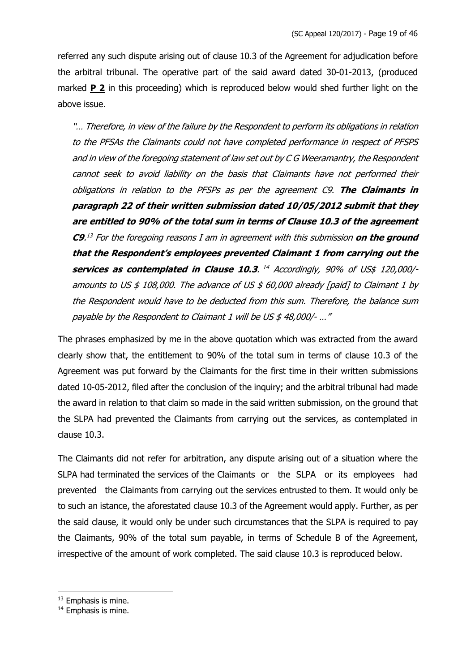referred any such dispute arising out of clause 10.3 of the Agreement for adjudication before the arbitral tribunal. The operative part of the said award dated 30-01-2013, (produced marked **P 2** in this proceeding) which is reproduced below would shed further light on the above issue.

"… Therefore, in view of the failure by the Respondent to perform its obligations in relation to the PFSAs the Claimants could not have completed performance in respect of PFSPS and in view of the foregoing statement of law set out by C G Weeramantry, the Respondent cannot seek to avoid liability on the basis that Claimants have not performed their obligations in relation to the PFSPs as per the agreement C9. **The Claimants in paragraph 22 of their written submission dated 10/05/2012 submit that they are entitled to 90% of the total sum in terms of Clause 10.3 of the agreement C9**. <sup>13</sup> For the foregoing reasons I am in agreement with this submission **on the ground that the Respondent's employees prevented Claimant 1 from carrying out the services as contemplated in Clause 10.3.** <sup>14</sup> Accordingly, 90% of US\$ 120,000/amounts to US  $$ 108,000$ . The advance of US  $$ 60,000$  already [paid] to Claimant 1 by the Respondent would have to be deducted from this sum. Therefore, the balance sum payable by the Respondent to Claimant 1 will be US \$ 48,000/- …"

The phrases emphasized by me in the above quotation which was extracted from the award clearly show that, the entitlement to 90% of the total sum in terms of clause 10.3 of the Agreement was put forward by the Claimants for the first time in their written submissions dated 10-05-2012, filed after the conclusion of the inquiry; and the arbitral tribunal had made the award in relation to that claim so made in the said written submission, on the ground that the SLPA had prevented the Claimants from carrying out the services, as contemplated in clause 10.3.

The Claimants did not refer for arbitration, any dispute arising out of a situation where the SLPA had terminated the services of the Claimants or the SLPA or its employees had prevented the Claimants from carrying out the services entrusted to them. It would only be to such an istance, the aforestated clause 10.3 of the Agreement would apply. Further, as per the said clause, it would only be under such circumstances that the SLPA is required to pay the Claimants, 90% of the total sum payable, in terms of Schedule B of the Agreement, irrespective of the amount of work completed. The said clause 10.3 is reproduced below.

<sup>&</sup>lt;sup>13</sup> Emphasis is mine.

<sup>14</sup> Emphasis is mine.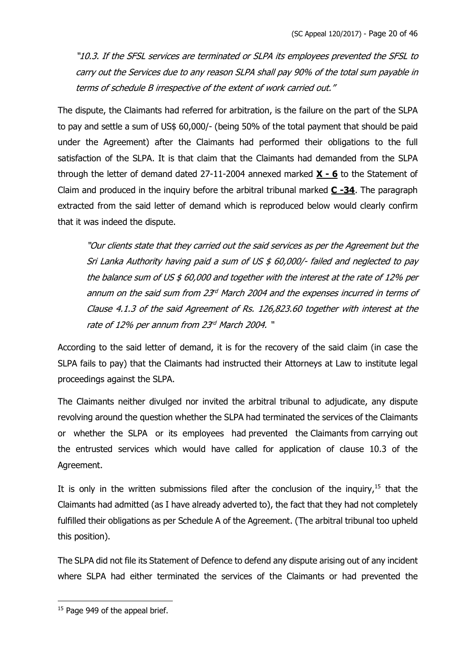"10.3. If the SFSL services are terminated or SLPA its employees prevented the SFSL to carry out the Services due to any reason SLPA shall pay 90% of the total sum payable in terms of schedule B irrespective of the extent of work carried out."

The dispute, the Claimants had referred for arbitration, is the failure on the part of the SLPA to pay and settle a sum of US\$ 60,000/- (being 50% of the total payment that should be paid under the Agreement) after the Claimants had performed their obligations to the full satisfaction of the SLPA. It is that claim that the Claimants had demanded from the SLPA through the letter of demand dated 27-11-2004 annexed marked **X - 6** to the Statement of Claim and produced in the inquiry before the arbitral tribunal marked **C -34**. The paragraph extracted from the said letter of demand which is reproduced below would clearly confirm that it was indeed the dispute.

"Our clients state that they carried out the said services as per the Agreement but the Sri Lanka Authority having paid a sum of US  $$60,000/$ - failed and neglected to pay the balance sum of US  $$60,000$  and together with the interest at the rate of 12% per annum on the said sum from  $23<sup>d</sup>$  March 2004 and the expenses incurred in terms of Clause 4.1.3 of the said Agreement of Rs. 126,823.60 together with interest at the rate of 12% per annum from 23<sup>rd</sup> March 2004. "

According to the said letter of demand, it is for the recovery of the said claim (in case the SLPA fails to pay) that the Claimants had instructed their Attorneys at Law to institute legal proceedings against the SLPA.

The Claimants neither divulged nor invited the arbitral tribunal to adjudicate, any dispute revolving around the question whether the SLPA had terminated the services of the Claimants or whether the SLPA or its employees had prevented the Claimants from carrying out the entrusted services which would have called for application of clause 10.3 of the Agreement.

It is only in the written submissions filed after the conclusion of the inquiry,<sup>15</sup> that the Claimants had admitted (as I have already adverted to), the fact that they had not completely fulfilled their obligations as per Schedule A of the Agreement. (The arbitral tribunal too upheld this position).

The SLPA did not file its Statement of Defence to defend any dispute arising out of any incident where SLPA had either terminated the services of the Claimants or had prevented the

<sup>&</sup>lt;sup>15</sup> Page 949 of the appeal brief.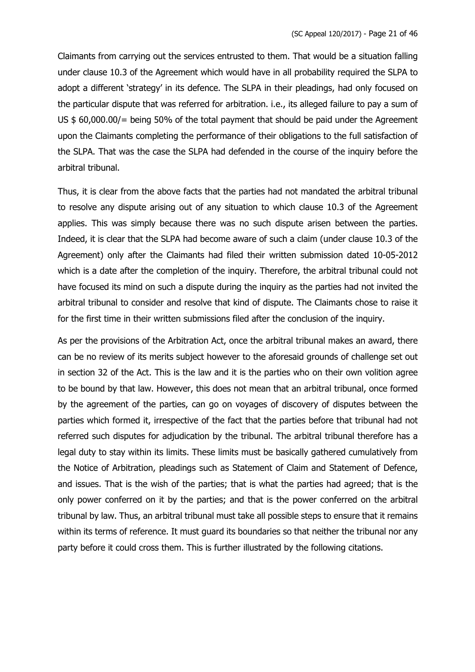Claimants from carrying out the services entrusted to them. That would be a situation falling under clause 10.3 of the Agreement which would have in all probability required the SLPA to adopt a different 'strategy' in its defence. The SLPA in their pleadings, had only focused on the particular dispute that was referred for arbitration. i.e., its alleged failure to pay a sum of US \$ 60,000.00/= being 50% of the total payment that should be paid under the Agreement upon the Claimants completing the performance of their obligations to the full satisfaction of the SLPA. That was the case the SLPA had defended in the course of the inquiry before the arbitral tribunal.

Thus, it is clear from the above facts that the parties had not mandated the arbitral tribunal to resolve any dispute arising out of any situation to which clause 10.3 of the Agreement applies. This was simply because there was no such dispute arisen between the parties. Indeed, it is clear that the SLPA had become aware of such a claim (under clause 10.3 of the Agreement) only after the Claimants had filed their written submission dated 10-05-2012 which is a date after the completion of the inquiry. Therefore, the arbitral tribunal could not have focused its mind on such a dispute during the inquiry as the parties had not invited the arbitral tribunal to consider and resolve that kind of dispute. The Claimants chose to raise it for the first time in their written submissions filed after the conclusion of the inquiry.

As per the provisions of the Arbitration Act, once the arbitral tribunal makes an award, there can be no review of its merits subject however to the aforesaid grounds of challenge set out in section 32 of the Act. This is the law and it is the parties who on their own volition agree to be bound by that law. However, this does not mean that an arbitral tribunal, once formed by the agreement of the parties, can go on voyages of discovery of disputes between the parties which formed it, irrespective of the fact that the parties before that tribunal had not referred such disputes for adjudication by the tribunal. The arbitral tribunal therefore has a legal duty to stay within its limits. These limits must be basically gathered cumulatively from the Notice of Arbitration, pleadings such as Statement of Claim and Statement of Defence, and issues. That is the wish of the parties; that is what the parties had agreed; that is the only power conferred on it by the parties; and that is the power conferred on the arbitral tribunal by law. Thus, an arbitral tribunal must take all possible steps to ensure that it remains within its terms of reference. It must guard its boundaries so that neither the tribunal nor any party before it could cross them. This is further illustrated by the following citations.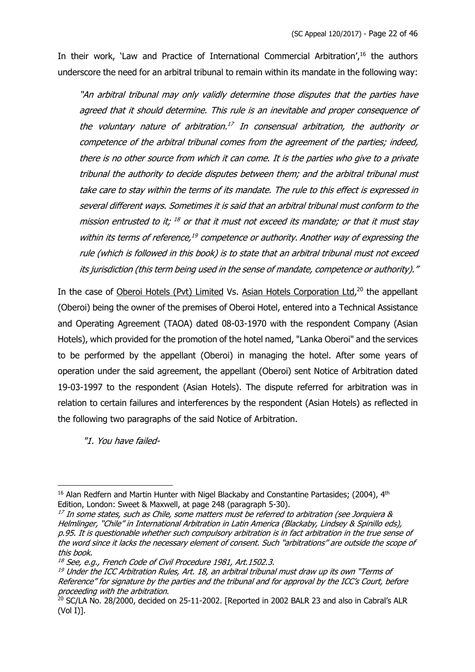In their work, 'Law and Practice of International Commercial Arbitration',<sup>16</sup> the authors underscore the need for an arbitral tribunal to remain within its mandate in the following way:

"An arbitral tribunal may only validly determine those disputes that the parties have agreed that it should determine. This rule is an inevitable and proper consequence of the voluntary nature of arbitration.<sup>17</sup> In consensual arbitration, the authority or competence of the arbitral tribunal comes from the agreement of the parties; indeed, there is no other source from which it can come. It is the parties who give to a private tribunal the authority to decide disputes between them; and the arbitral tribunal must take care to stay within the terms of its mandate. The rule to this effect is expressed in several different ways. Sometimes it is said that an arbitral tribunal must conform to the mission entrusted to it;  $^{18}$  or that it must not exceed its mandate; or that it must stay within its terms of reference, $19$  competence or authority. Another way of expressing the rule (which is followed in this book) is to state that an arbitral tribunal must not exceed its jurisdiction (this term being used in the sense of mandate, competence or authority)."

In the case of Oberoi Hotels (Pvt) Limited Vs. Asian Hotels Corporation Ltd,<sup>20</sup> the appellant (Oberoi) being the owner of the premises of Oberoi Hotel, entered into a Technical Assistance and Operating Agreement (TAOA) dated 08-03-1970 with the respondent Company (Asian Hotels), which provided for the promotion of the hotel named, "Lanka Oberoi" and the services to be performed by the appellant (Oberoi) in managing the hotel. After some years of operation under the said agreement, the appellant (Oberoi) sent Notice of Arbitration dated 19-03-1997 to the respondent (Asian Hotels). The dispute referred for arbitration was in relation to certain failures and interferences by the respondent (Asian Hotels) as reflected in the following two paragraphs of the said Notice of Arbitration.

"1. You have failed-

 $16$  Alan Redfern and Martin Hunter with Nigel Blackaby and Constantine Partasides; (2004),  $4<sup>th</sup>$ Edition, London: Sweet & Maxwell, at page 248 (paragraph 5-30).

 $17$  In some states, such as Chile, some matters must be referred to arbitration (see Jorquiera  $\&$ Helmlinger, "Chile" in International Arbitration in Latin America (Blackaby, Lindsey & Spinillo eds), p.95. It is questionable whether such compulsory arbitration is in fact arbitration in the true sense of the word since it lacks the necessary element of consent. Such "arbitrations" are outside the scope of this book.

 $18$  See, e.g., French Code of Civil Procedure 1981, Art.1502.3.

 $19$  Under the ICC Arbitration Rules, Art. 18, an arbitral tribunal must draw up its own "Terms of Reference" for signature by the parties and the tribunal and for approval by the ICC's Court, before proceeding with the arbitration.

<sup>&</sup>lt;sup>20</sup> SC/LA No. 28/2000, decided on 25-11-2002. [Reported in 2002 BALR 23 and also in Cabral's ALR (Vol I)].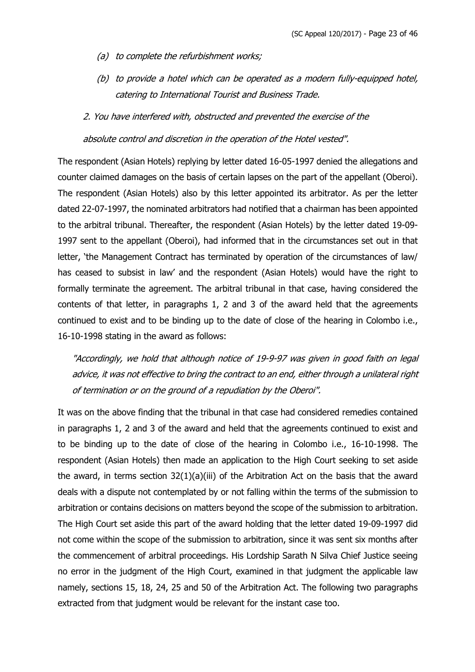- (a) to complete the refurbishment works;
- (b) to provide a hotel which can be operated as a modern fully-equipped hotel, catering to International Tourist and Business Trade.
- 2. You have interfered with, obstructed and prevented the exercise of the

absolute control and discretion in the operation of the Hotel vested".

The respondent (Asian Hotels) replying by letter dated 16-05-1997 denied the allegations and counter claimed damages on the basis of certain lapses on the part of the appellant (Oberoi). The respondent (Asian Hotels) also by this letter appointed its arbitrator. As per the letter dated 22-07-1997, the nominated arbitrators had notified that a chairman has been appointed to the arbitral tribunal. Thereafter, the respondent (Asian Hotels) by the letter dated 19-09- 1997 sent to the appellant (Oberoi), had informed that in the circumstances set out in that letter, 'the Management Contract has terminated by operation of the circumstances of law/ has ceased to subsist in law' and the respondent (Asian Hotels) would have the right to formally terminate the agreement. The arbitral tribunal in that case, having considered the contents of that letter, in paragraphs 1, 2 and 3 of the award held that the agreements continued to exist and to be binding up to the date of close of the hearing in Colombo i.e., 16-10-1998 stating in the award as follows:

"Accordingly, we hold that although notice of 19-9-97 was given in good faith on legal advice, it was not effective to bring the contract to an end, either through a unilateral right of termination or on the ground of a repudiation by the Oberoi".

It was on the above finding that the tribunal in that case had considered remedies contained in paragraphs 1, 2 and 3 of the award and held that the agreements continued to exist and to be binding up to the date of close of the hearing in Colombo i.e., 16-10-1998. The respondent (Asian Hotels) then made an application to the High Court seeking to set aside the award, in terms section  $32(1)(a)(iii)$  of the Arbitration Act on the basis that the award deals with a dispute not contemplated by or not falling within the terms of the submission to arbitration or contains decisions on matters beyond the scope of the submission to arbitration. The High Court set aside this part of the award holding that the letter dated 19-09-1997 did not come within the scope of the submission to arbitration, since it was sent six months after the commencement of arbitral proceedings. His Lordship Sarath N Silva Chief Justice seeing no error in the judgment of the High Court, examined in that judgment the applicable law namely, sections 15, 18, 24, 25 and 50 of the Arbitration Act. The following two paragraphs extracted from that judgment would be relevant for the instant case too.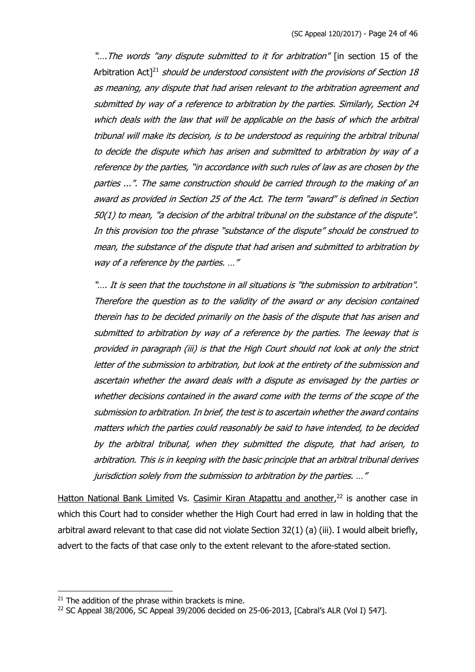".... The words "any dispute submitted to it for arbitration" [in section 15 of the Arbitration Act<sup>[21</sup> should be understood consistent with the provisions of Section 18 as meaning, any dispute that had arisen relevant to the arbitration agreement and submitted by way of a reference to arbitration by the parties. Similarly, Section 24 which deals with the law that will be applicable on the basis of which the arbitral tribunal will make its decision, is to be understood as requiring the arbitral tribunal to decide the dispute which has arisen and submitted to arbitration by way of a reference by the parties, "in accordance with such rules of law as are chosen by the parties ...". The same construction should be carried through to the making of an award as provided in Section 25 of the Act. The term "award" is defined in Section 50(1) to mean, "a decision of the arbitral tribunal on the substance of the dispute". In this provision too the phrase "substance of the dispute" should be construed to mean, the substance of the dispute that had arisen and submitted to arbitration by way of a reference by the parties. ..."

"…. It is seen that the touchstone in all situations is "the submission to arbitration". Therefore the question as to the validity of the award or any decision contained therein has to be decided primarily on the basis of the dispute that has arisen and submitted to arbitration by way of a reference by the parties. The leeway that is provided in paragraph (iii) is that the High Court should not look at only the strict letter of the submission to arbitration, but look at the entirety of the submission and ascertain whether the award deals with a dispute as envisaged by the parties or whether decisions contained in the award come with the terms of the scope of the submission to arbitration. In brief, the test is to ascertain whether the award contains matters which the parties could reasonably be said to have intended, to be decided by the arbitral tribunal, when they submitted the dispute, that had arisen, to arbitration. This is in keeping with the basic principle that an arbitral tribunal derives jurisdiction solely from the submission to arbitration by the parties. …"

Hatton National Bank Limited Vs. Casimir Kiran Atapattu and another,<sup>22</sup> is another case in which this Court had to consider whether the High Court had erred in law in holding that the arbitral award relevant to that case did not violate Section 32(1) (a) (iii). I would albeit briefly, advert to the facts of that case only to the extent relevant to the afore-stated section.

 $21$  The addition of the phrase within brackets is mine.

<sup>22</sup> SC Appeal 38/2006, SC Appeal 39/2006 decided on 25-06-2013, [Cabral's ALR (Vol I) 547].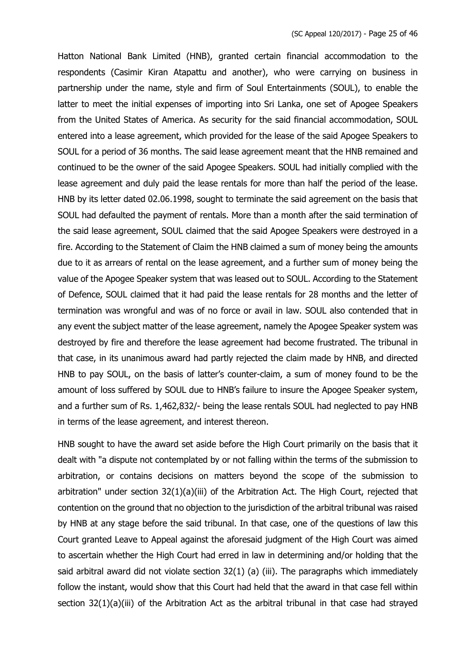Hatton National Bank Limited (HNB), granted certain financial accommodation to the respondents (Casimir Kiran Atapattu and another), who were carrying on business in partnership under the name, style and firm of Soul Entertainments (SOUL), to enable the latter to meet the initial expenses of importing into Sri Lanka, one set of Apogee Speakers from the United States of America. As security for the said financial accommodation, SOUL entered into a lease agreement, which provided for the lease of the said Apogee Speakers to SOUL for a period of 36 months. The said lease agreement meant that the HNB remained and continued to be the owner of the said Apogee Speakers. SOUL had initially complied with the lease agreement and duly paid the lease rentals for more than half the period of the lease. HNB by its letter dated 02.06.1998, sought to terminate the said agreement on the basis that SOUL had defaulted the payment of rentals. More than a month after the said termination of the said lease agreement, SOUL claimed that the said Apogee Speakers were destroyed in a fire. According to the Statement of Claim the HNB claimed a sum of money being the amounts due to it as arrears of rental on the lease agreement, and a further sum of money being the value of the Apogee Speaker system that was leased out to SOUL. According to the Statement of Defence, SOUL claimed that it had paid the lease rentals for 28 months and the letter of termination was wrongful and was of no force or avail in law. SOUL also contended that in any event the subject matter of the lease agreement, namely the Apogee Speaker system was destroyed by fire and therefore the lease agreement had become frustrated. The tribunal in that case, in its unanimous award had partly rejected the claim made by HNB, and directed HNB to pay SOUL, on the basis of latter's counter-claim, a sum of money found to be the amount of loss suffered by SOUL due to HNB's failure to insure the Apogee Speaker system, and a further sum of Rs. 1,462,832/- being the lease rentals SOUL had neglected to pay HNB in terms of the lease agreement, and interest thereon.

HNB sought to have the award set aside before the High Court primarily on the basis that it dealt with "a dispute not contemplated by or not falling within the terms of the submission to arbitration, or contains decisions on matters beyond the scope of the submission to arbitration" under section 32(1)(a)(iii) of the Arbitration Act. The High Court, rejected that contention on the ground that no objection to the jurisdiction of the arbitral tribunal was raised by HNB at any stage before the said tribunal. In that case, one of the questions of law this Court granted Leave to Appeal against the aforesaid judgment of the High Court was aimed to ascertain whether the High Court had erred in law in determining and/or holding that the said arbitral award did not violate section 32(1) (a) (iii). The paragraphs which immediately follow the instant, would show that this Court had held that the award in that case fell within section 32(1)(a)(iii) of the Arbitration Act as the arbitral tribunal in that case had strayed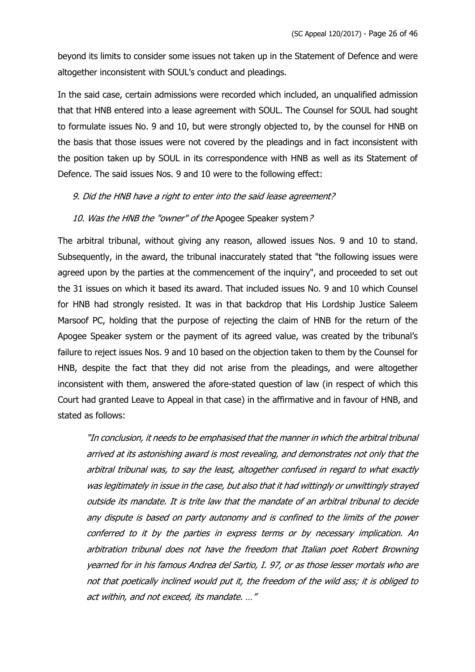beyond its limits to consider some issues not taken up in the Statement of Defence and were altogether inconsistent with SOUL's conduct and pleadings.

In the said case, certain admissions were recorded which included, an unqualified admission that that HNB entered into a lease agreement with SOUL. The Counsel for SOUL had sought to formulate issues No. 9 and 10, but were strongly objected to, by the counsel for HNB on the basis that those issues were not covered by the pleadings and in fact inconsistent with the position taken up by SOUL in its correspondence with HNB as well as its Statement of Defence. The said issues Nos. 9 and 10 were to the following effect:

#### 9. Did the HNB have a right to enter into the said lease agreement?

#### 10. Was the HNB the "owner" of the Apogee Speaker system?

The arbitral tribunal, without giving any reason, allowed issues Nos. 9 and 10 to stand. Subsequently, in the award, the tribunal inaccurately stated that "the following issues were agreed upon by the parties at the commencement of the inquiry", and proceeded to set out the 31 issues on which it based its award. That included issues No. 9 and 10 which Counsel for HNB had strongly resisted. It was in that backdrop that His Lordship Justice Saleem Marsoof PC, holding that the purpose of rejecting the claim of HNB for the return of the Apogee Speaker system or the payment of its agreed value, was created by the tribunal's failure to reject issues Nos. 9 and 10 based on the objection taken to them by the Counsel for HNB, despite the fact that they did not arise from the pleadings, and were altogether inconsistent with them, answered the afore-stated question of law (in respect of which this Court had granted Leave to Appeal in that case) in the affirmative and in favour of HNB, and stated as follows:

"In conclusion, it needs to be emphasised that the manner in which the arbitral tribunal arrived at its astonishing award is most revealing, and demonstrates not only that the arbitral tribunal was, to say the least, altogether confused in regard to what exactly was legitimately in issue in the case, but also that it had wittingly or unwittingly strayed outside its mandate. It is trite law that the mandate of an arbitral tribunal to decide any dispute is based on party autonomy and is confined to the limits of the power conferred to it by the parties in express terms or by necessary implication. An arbitration tribunal does not have the freedom that Italian poet Robert Browning yearned for in his famous Andrea del Sartio, I. 97, or as those lesser mortals who are not that poetically inclined would put it, the freedom of the wild ass; it is obliged to act within, and not exceed, its mandate. …"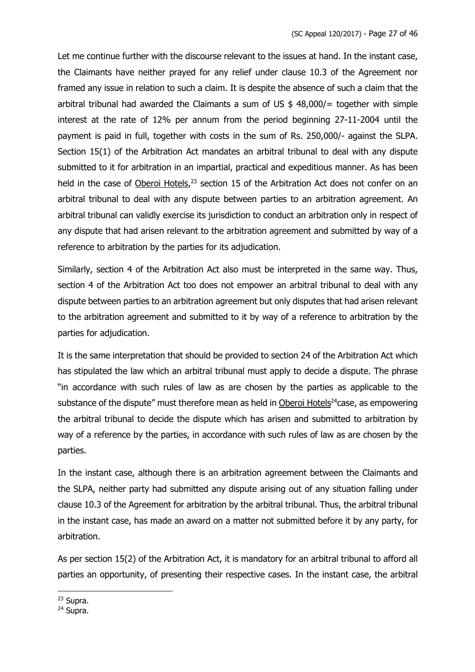Let me continue further with the discourse relevant to the issues at hand. In the instant case, the Claimants have neither prayed for any relief under clause 10.3 of the Agreement nor framed any issue in relation to such a claim. It is despite the absence of such a claim that the arbitral tribunal had awarded the Claimants a sum of US  $$ 48,000/$  together with simple interest at the rate of 12% per annum from the period beginning 27-11-2004 until the payment is paid in full, together with costs in the sum of Rs. 250,000/- against the SLPA. Section 15(1) of the Arbitration Act mandates an arbitral tribunal to deal with any dispute submitted to it for arbitration in an impartial, practical and expeditious manner. As has been held in the case of Oberoi Hotels,<sup>23</sup> section 15 of the Arbitration Act does not confer on an arbitral tribunal to deal with any dispute between parties to an arbitration agreement. An arbitral tribunal can validly exercise its jurisdiction to conduct an arbitration only in respect of any dispute that had arisen relevant to the arbitration agreement and submitted by way of a reference to arbitration by the parties for its adjudication.

Similarly, section 4 of the Arbitration Act also must be interpreted in the same way. Thus, section 4 of the Arbitration Act too does not empower an arbitral tribunal to deal with any dispute between parties to an arbitration agreement but only disputes that had arisen relevant to the arbitration agreement and submitted to it by way of a reference to arbitration by the parties for adjudication.

It is the same interpretation that should be provided to section 24 of the Arbitration Act which has stipulated the law which an arbitral tribunal must apply to decide a dispute. The phrase "in accordance with such rules of law as are chosen by the parties as applicable to the substance of the dispute" must therefore mean as held in Oberoi Hotels<sup>24</sup>case, as empowering the arbitral tribunal to decide the dispute which has arisen and submitted to arbitration by way of a reference by the parties, in accordance with such rules of law as are chosen by the parties.

In the instant case, although there is an arbitration agreement between the Claimants and the SLPA, neither party had submitted any dispute arising out of any situation falling under clause 10.3 of the Agreement for arbitration by the arbitral tribunal. Thus, the arbitral tribunal in the instant case, has made an award on a matter not submitted before it by any party, for arbitration.

As per section 15(2) of the Arbitration Act, it is mandatory for an arbitral tribunal to afford all parties an opportunity, of presenting their respective cases. In the instant case, the arbitral

<sup>23</sup> Supra.

<sup>24</sup> Supra.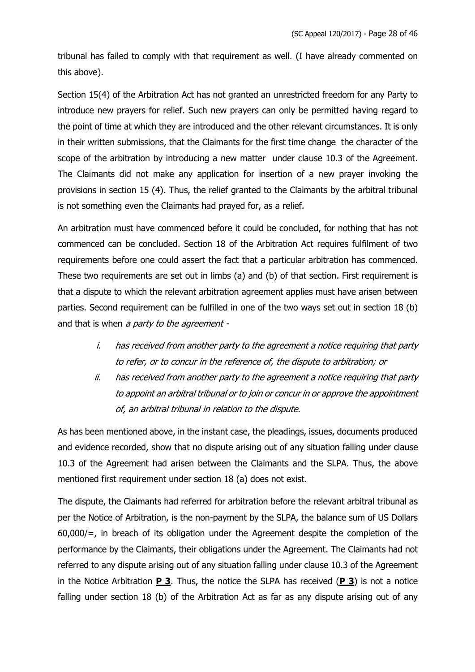tribunal has failed to comply with that requirement as well. (I have already commented on this above).

Section 15(4) of the Arbitration Act has not granted an unrestricted freedom for any Party to introduce new prayers for relief. Such new prayers can only be permitted having regard to the point of time at which they are introduced and the other relevant circumstances. It is only in their written submissions, that the Claimants for the first time change the character of the scope of the arbitration by introducing a new matter under clause 10.3 of the Agreement. The Claimants did not make any application for insertion of a new prayer invoking the provisions in section 15 (4). Thus, the relief granted to the Claimants by the arbitral tribunal is not something even the Claimants had prayed for, as a relief.

An arbitration must have commenced before it could be concluded, for nothing that has not commenced can be concluded. Section 18 of the Arbitration Act requires fulfilment of two requirements before one could assert the fact that a particular arbitration has commenced. These two requirements are set out in limbs (a) and (b) of that section. First requirement is that a dispute to which the relevant arbitration agreement applies must have arisen between parties. Second requirement can be fulfilled in one of the two ways set out in section 18 (b) and that is when a party to the agreement -

- i. has received from another party to the agreement a notice requiring that party to refer, or to concur in the reference of, the dispute to arbitration; or
- ii. has received from another party to the agreement a notice requiring that party to appoint an arbitral tribunal or to join or concur in or approve the appointment of, an arbitral tribunal in relation to the dispute.

As has been mentioned above, in the instant case, the pleadings, issues, documents produced and evidence recorded, show that no dispute arising out of any situation falling under clause 10.3 of the Agreement had arisen between the Claimants and the SLPA. Thus, the above mentioned first requirement under section 18 (a) does not exist.

The dispute, the Claimants had referred for arbitration before the relevant arbitral tribunal as per the Notice of Arbitration, is the non-payment by the SLPA, the balance sum of US Dollars 60,000/=, in breach of its obligation under the Agreement despite the completion of the performance by the Claimants, their obligations under the Agreement. The Claimants had not referred to any dispute arising out of any situation falling under clause 10.3 of the Agreement in the Notice Arbitration **P 3**. Thus, the notice the SLPA has received (**P 3**) is not a notice falling under section 18 (b) of the Arbitration Act as far as any dispute arising out of any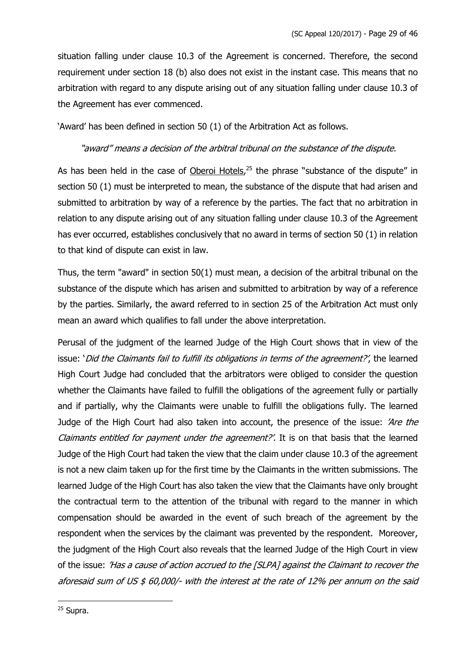situation falling under clause 10.3 of the Agreement is concerned. Therefore, the second requirement under section 18 (b) also does not exist in the instant case. This means that no arbitration with regard to any dispute arising out of any situation falling under clause 10.3 of the Agreement has ever commenced.

'Award' has been defined in section 50 (1) of the Arbitration Act as follows.

### "award" means a decision of the arbitral tribunal on the substance of the dispute.

As has been held in the case of Oberoi Hotels,<sup>25</sup> the phrase "substance of the dispute" in section 50 (1) must be interpreted to mean, the substance of the dispute that had arisen and submitted to arbitration by way of a reference by the parties. The fact that no arbitration in relation to any dispute arising out of any situation falling under clause 10.3 of the Agreement has ever occurred, establishes conclusively that no award in terms of section 50 (1) in relation to that kind of dispute can exist in law.

Thus, the term "award" in section 50(1) must mean, a decision of the arbitral tribunal on the substance of the dispute which has arisen and submitted to arbitration by way of a reference by the parties. Similarly, the award referred to in section 25 of the Arbitration Act must only mean an award which qualifies to fall under the above interpretation.

Perusal of the judgment of the learned Judge of the High Court shows that in view of the issue: 'Did the Claimants fail to fulfill its obligations in terms of the agreement?', the learned High Court Judge had concluded that the arbitrators were obliged to consider the question whether the Claimants have failed to fulfill the obligations of the agreement fully or partially and if partially, why the Claimants were unable to fulfill the obligations fully. The learned Judge of the High Court had also taken into account, the presence of the issue: 'Are the Claimants entitled for payment under the agreement?'. It is on that basis that the learned Judge of the High Court had taken the view that the claim under clause 10.3 of the agreement is not a new claim taken up for the first time by the Claimants in the written submissions. The learned Judge of the High Court has also taken the view that the Claimants have only brought the contractual term to the attention of the tribunal with regard to the manner in which compensation should be awarded in the event of such breach of the agreement by the respondent when the services by the claimant was prevented by the respondent. Moreover, the judgment of the High Court also reveals that the learned Judge of the High Court in view of the issue: 'Has a cause of action accrued to the [SLPA] against the Claimant to recover the aforesaid sum of US \$ 60,000/- with the interest at the rate of 12% per annum on the said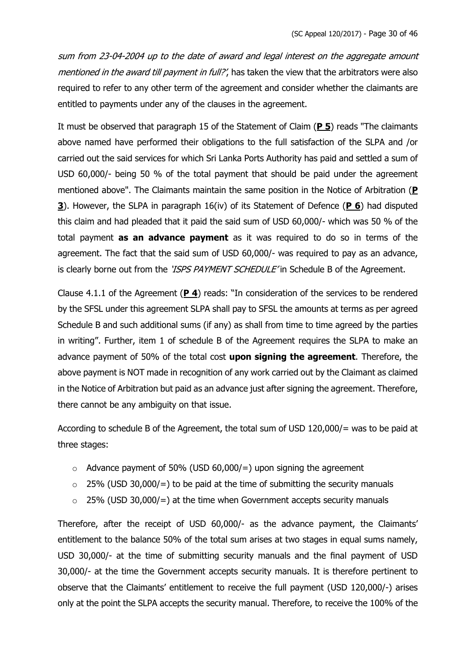sum from 23-04-2004 up to the date of award and legal interest on the aggregate amount mentioned in the award till payment in full?', has taken the view that the arbitrators were also required to refer to any other term of the agreement and consider whether the claimants are entitled to payments under any of the clauses in the agreement.

It must be observed that paragraph 15 of the Statement of Claim (**P 5**) reads "The claimants above named have performed their obligations to the full satisfaction of the SLPA and /or carried out the said services for which Sri Lanka Ports Authority has paid and settled a sum of USD 60,000/- being 50 % of the total payment that should be paid under the agreement mentioned above". The Claimants maintain the same position in the Notice of Arbitration (**P 3**). However, the SLPA in paragraph 16(iv) of its Statement of Defence (**P 6**) had disputed this claim and had pleaded that it paid the said sum of USD 60,000/- which was 50 % of the total payment **as an advance payment** as it was required to do so in terms of the agreement. The fact that the said sum of USD 60,000/- was required to pay as an advance, is clearly borne out from the 'ISPS PAYMENT SCHEDULE' in Schedule B of the Agreement.

Clause 4.1.1 of the Agreement (**P 4**) reads: "In consideration of the services to be rendered by the SFSL under this agreement SLPA shall pay to SFSL the amounts at terms as per agreed Schedule B and such additional sums (if any) as shall from time to time agreed by the parties in writing". Further, item 1 of schedule B of the Agreement requires the SLPA to make an advance payment of 50% of the total cost **upon signing the agreement**. Therefore, the above payment is NOT made in recognition of any work carried out by the Claimant as claimed in the Notice of Arbitration but paid as an advance just after signing the agreement. Therefore, there cannot be any ambiguity on that issue.

According to schedule B of the Agreement, the total sum of USD 120,000/= was to be paid at three stages:

- $\circ$  Advance payment of 50% (USD 60,000/=) upon signing the agreement
- $\circ$  25% (USD 30,000/=) to be paid at the time of submitting the security manuals
- $\circ$  25% (USD 30,000/=) at the time when Government accepts security manuals

Therefore, after the receipt of USD 60,000/- as the advance payment, the Claimants' entitlement to the balance 50% of the total sum arises at two stages in equal sums namely, USD 30,000/- at the time of submitting security manuals and the final payment of USD 30,000/- at the time the Government accepts security manuals. It is therefore pertinent to observe that the Claimants' entitlement to receive the full payment (USD 120,000/-) arises only at the point the SLPA accepts the security manual. Therefore, to receive the 100% of the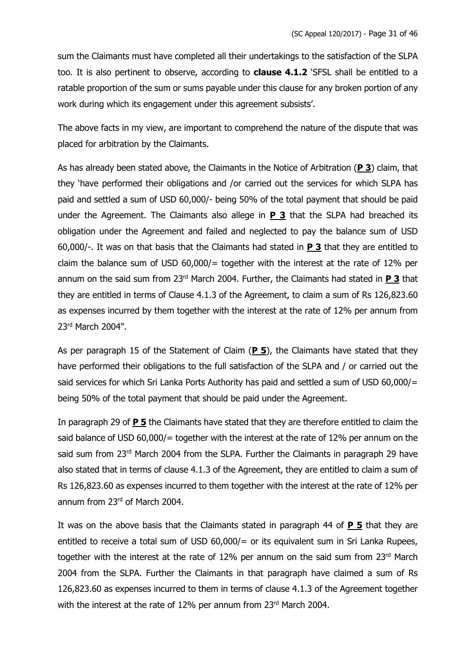sum the Claimants must have completed all their undertakings to the satisfaction of the SLPA too. It is also pertinent to observe, according to **clause 4.1.2** 'SFSL shall be entitled to a ratable proportion of the sum or sums payable under this clause for any broken portion of any work during which its engagement under this agreement subsists'.

The above facts in my view, are important to comprehend the nature of the dispute that was placed for arbitration by the Claimants.

As has already been stated above, the Claimants in the Notice of Arbitration (**P 3**) claim, that they 'have performed their obligations and /or carried out the services for which SLPA has paid and settled a sum of USD 60,000/- being 50% of the total payment that should be paid under the Agreement. The Claimants also allege in **P 3** that the SLPA had breached its obligation under the Agreement and failed and neglected to pay the balance sum of USD 60,000/-. It was on that basis that the Claimants had stated in **P 3** that they are entitled to claim the balance sum of USD  $60,000/$  = together with the interest at the rate of 12% per annum on the said sum from 23rd March 2004. Further, the Claimants had stated in **P 3** that they are entitled in terms of Clause 4.1.3 of the Agreement, to claim a sum of Rs 126,823.60 as expenses incurred by them together with the interest at the rate of 12% per annum from 23rd March 2004".

As per paragraph 15 of the Statement of Claim (**P 5**), the Claimants have stated that they have performed their obligations to the full satisfaction of the SLPA and / or carried out the said services for which Sri Lanka Ports Authority has paid and settled a sum of USD 60,000/= being 50% of the total payment that should be paid under the Agreement.

In paragraph 29 of **P 5** the Claimants have stated that they are therefore entitled to claim the said balance of USD 60,000/= together with the interest at the rate of 12% per annum on the said sum from 23rd March 2004 from the SLPA. Further the Claimants in paragraph 29 have also stated that in terms of clause 4.1.3 of the Agreement, they are entitled to claim a sum of Rs 126,823.60 as expenses incurred to them together with the interest at the rate of 12% per annum from 23<sup>rd</sup> of March 2004.

It was on the above basis that the Claimants stated in paragraph 44 of **P 5** that they are entitled to receive a total sum of USD 60,000/= or its equivalent sum in Sri Lanka Rupees, together with the interest at the rate of 12% per annum on the said sum from 23rd March 2004 from the SLPA. Further the Claimants in that paragraph have claimed a sum of Rs 126,823.60 as expenses incurred to them in terms of clause 4.1.3 of the Agreement together with the interest at the rate of 12% per annum from 23rd March 2004.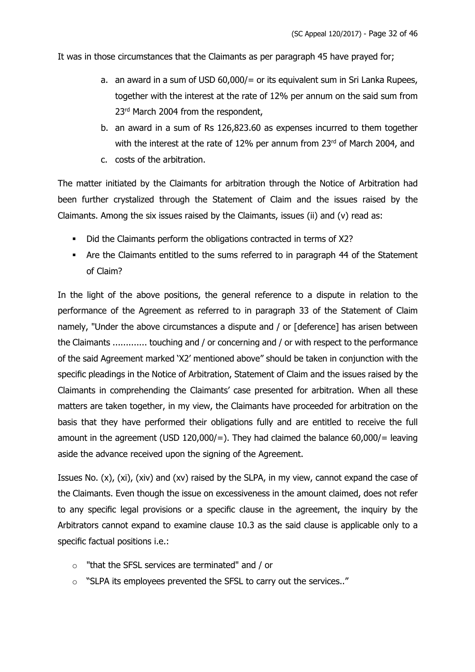It was in those circumstances that the Claimants as per paragraph 45 have prayed for;

- a. an award in a sum of USD 60,000/= or its equivalent sum in Sri Lanka Rupees, together with the interest at the rate of 12% per annum on the said sum from 23<sup>rd</sup> March 2004 from the respondent,
- b. an award in a sum of Rs 126,823.60 as expenses incurred to them together with the interest at the rate of 12% per annum from 23rd of March 2004, and
- c. costs of the arbitration.

The matter initiated by the Claimants for arbitration through the Notice of Arbitration had been further crystalized through the Statement of Claim and the issues raised by the Claimants. Among the six issues raised by the Claimants, issues (ii) and (v) read as:

- Did the Claimants perform the obligations contracted in terms of X2?
- Are the Claimants entitled to the sums referred to in paragraph 44 of the Statement of Claim?

In the light of the above positions, the general reference to a dispute in relation to the performance of the Agreement as referred to in paragraph 33 of the Statement of Claim namely, "Under the above circumstances a dispute and / or [deference] has arisen between the Claimants ............. touching and / or concerning and / or with respect to the performance of the said Agreement marked 'X2' mentioned above" should be taken in conjunction with the specific pleadings in the Notice of Arbitration, Statement of Claim and the issues raised by the Claimants in comprehending the Claimants' case presented for arbitration. When all these matters are taken together, in my view, the Claimants have proceeded for arbitration on the basis that they have performed their obligations fully and are entitled to receive the full amount in the agreement (USD 120,000/=). They had claimed the balance  $60,000/$ = leaving aside the advance received upon the signing of the Agreement.

Issues No. (x), (xi), (xiv) and (xv) raised by the SLPA, in my view, cannot expand the case of the Claimants. Even though the issue on excessiveness in the amount claimed, does not refer to any specific legal provisions or a specific clause in the agreement, the inquiry by the Arbitrators cannot expand to examine clause 10.3 as the said clause is applicable only to a specific factual positions i.e.:

- o "that the SFSL services are terminated" and / or
- o "SLPA its employees prevented the SFSL to carry out the services.."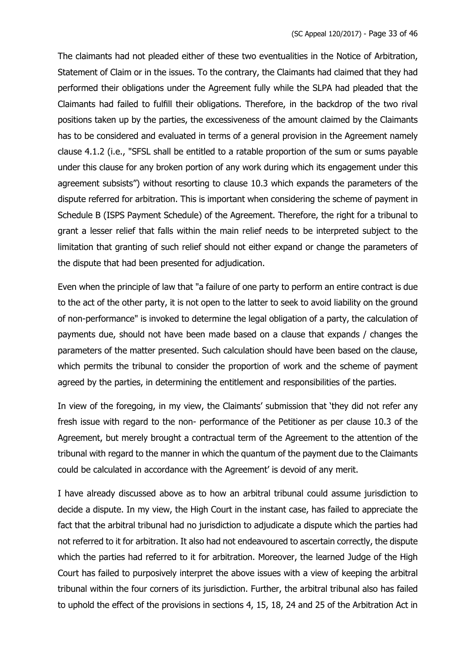The claimants had not pleaded either of these two eventualities in the Notice of Arbitration, Statement of Claim or in the issues. To the contrary, the Claimants had claimed that they had performed their obligations under the Agreement fully while the SLPA had pleaded that the Claimants had failed to fulfill their obligations. Therefore, in the backdrop of the two rival positions taken up by the parties, the excessiveness of the amount claimed by the Claimants has to be considered and evaluated in terms of a general provision in the Agreement namely clause 4.1.2 (i.e., "SFSL shall be entitled to a ratable proportion of the sum or sums payable under this clause for any broken portion of any work during which its engagement under this agreement subsists") without resorting to clause 10.3 which expands the parameters of the dispute referred for arbitration. This is important when considering the scheme of payment in Schedule B (ISPS Payment Schedule) of the Agreement. Therefore, the right for a tribunal to grant a lesser relief that falls within the main relief needs to be interpreted subject to the limitation that granting of such relief should not either expand or change the parameters of the dispute that had been presented for adjudication.

Even when the principle of law that "a failure of one party to perform an entire contract is due to the act of the other party, it is not open to the latter to seek to avoid liability on the ground of non-performance" is invoked to determine the legal obligation of a party, the calculation of payments due, should not have been made based on a clause that expands / changes the parameters of the matter presented. Such calculation should have been based on the clause, which permits the tribunal to consider the proportion of work and the scheme of payment agreed by the parties, in determining the entitlement and responsibilities of the parties.

In view of the foregoing, in my view, the Claimants' submission that 'they did not refer any fresh issue with regard to the non- performance of the Petitioner as per clause 10.3 of the Agreement, but merely brought a contractual term of the Agreement to the attention of the tribunal with regard to the manner in which the quantum of the payment due to the Claimants could be calculated in accordance with the Agreement' is devoid of any merit.

I have already discussed above as to how an arbitral tribunal could assume jurisdiction to decide a dispute. In my view, the High Court in the instant case, has failed to appreciate the fact that the arbitral tribunal had no jurisdiction to adjudicate a dispute which the parties had not referred to it for arbitration. It also had not endeavoured to ascertain correctly, the dispute which the parties had referred to it for arbitration. Moreover, the learned Judge of the High Court has failed to purposively interpret the above issues with a view of keeping the arbitral tribunal within the four corners of its jurisdiction. Further, the arbitral tribunal also has failed to uphold the effect of the provisions in sections 4, 15, 18, 24 and 25 of the Arbitration Act in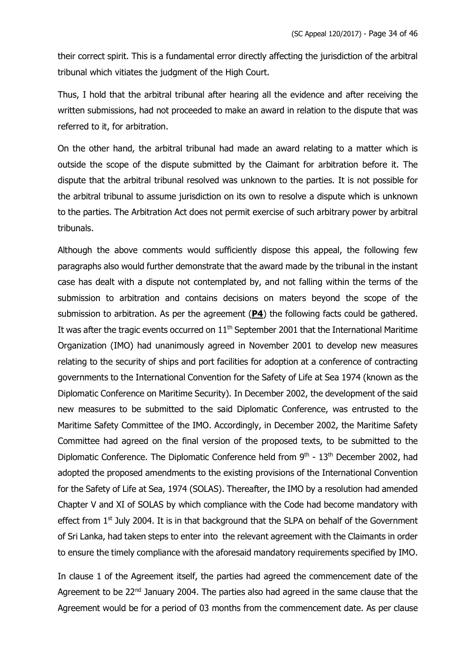their correct spirit. This is a fundamental error directly affecting the jurisdiction of the arbitral tribunal which vitiates the judgment of the High Court.

Thus, I hold that the arbitral tribunal after hearing all the evidence and after receiving the written submissions, had not proceeded to make an award in relation to the dispute that was referred to it, for arbitration.

On the other hand, the arbitral tribunal had made an award relating to a matter which is outside the scope of the dispute submitted by the Claimant for arbitration before it. The dispute that the arbitral tribunal resolved was unknown to the parties. It is not possible for the arbitral tribunal to assume jurisdiction on its own to resolve a dispute which is unknown to the parties. The Arbitration Act does not permit exercise of such arbitrary power by arbitral tribunals.

Although the above comments would sufficiently dispose this appeal, the following few paragraphs also would further demonstrate that the award made by the tribunal in the instant case has dealt with a dispute not contemplated by, and not falling within the terms of the submission to arbitration and contains decisions on maters beyond the scope of the submission to arbitration. As per the agreement (**P4**) the following facts could be gathered. It was after the tragic events occurred on  $11<sup>th</sup>$  September 2001 that the International Maritime Organization (IMO) had unanimously agreed in November 2001 to develop new measures relating to the security of ships and port facilities for adoption at a conference of contracting governments to the International Convention for the Safety of Life at Sea 1974 (known as the Diplomatic Conference on Maritime Security). In December 2002, the development of the said new measures to be submitted to the said Diplomatic Conference, was entrusted to the Maritime Safety Committee of the IMO. Accordingly, in December 2002, the Maritime Safety Committee had agreed on the final version of the proposed texts, to be submitted to the Diplomatic Conference. The Diplomatic Conference held from 9<sup>th</sup> - 13<sup>th</sup> December 2002, had adopted the proposed amendments to the existing provisions of the International Convention for the Safety of Life at Sea, 1974 (SOLAS). Thereafter, the IMO by a resolution had amended Chapter V and XI of SOLAS by which compliance with the Code had become mandatory with effect from 1<sup>st</sup> July 2004. It is in that background that the SLPA on behalf of the Government of Sri Lanka, had taken steps to enter into the relevant agreement with the Claimants in order to ensure the timely compliance with the aforesaid mandatory requirements specified by IMO.

In clause 1 of the Agreement itself, the parties had agreed the commencement date of the Agreement to be 22<sup>nd</sup> January 2004. The parties also had agreed in the same clause that the Agreement would be for a period of 03 months from the commencement date. As per clause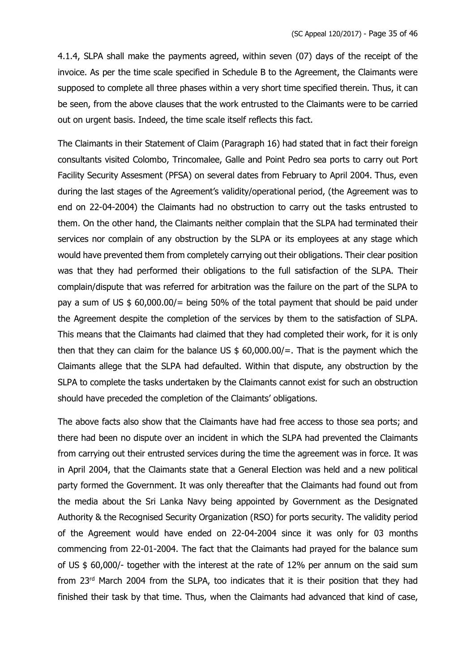4.1.4, SLPA shall make the payments agreed, within seven (07) days of the receipt of the invoice. As per the time scale specified in Schedule B to the Agreement, the Claimants were supposed to complete all three phases within a very short time specified therein. Thus, it can be seen, from the above clauses that the work entrusted to the Claimants were to be carried out on urgent basis. Indeed, the time scale itself reflects this fact.

The Claimants in their Statement of Claim (Paragraph 16) had stated that in fact their foreign consultants visited Colombo, Trincomalee, Galle and Point Pedro sea ports to carry out Port Facility Security Assesment (PFSA) on several dates from February to April 2004. Thus, even during the last stages of the Agreement's validity/operational period, (the Agreement was to end on 22-04-2004) the Claimants had no obstruction to carry out the tasks entrusted to them. On the other hand, the Claimants neither complain that the SLPA had terminated their services nor complain of any obstruction by the SLPA or its employees at any stage which would have prevented them from completely carrying out their obligations. Their clear position was that they had performed their obligations to the full satisfaction of the SLPA. Their complain/dispute that was referred for arbitration was the failure on the part of the SLPA to pay a sum of US \$ 60,000.00/= being 50% of the total payment that should be paid under the Agreement despite the completion of the services by them to the satisfaction of SLPA. This means that the Claimants had claimed that they had completed their work, for it is only then that they can claim for the balance US  $$60,000.00/=$ . That is the payment which the Claimants allege that the SLPA had defaulted. Within that dispute, any obstruction by the SLPA to complete the tasks undertaken by the Claimants cannot exist for such an obstruction should have preceded the completion of the Claimants' obligations.

The above facts also show that the Claimants have had free access to those sea ports; and there had been no dispute over an incident in which the SLPA had prevented the Claimants from carrying out their entrusted services during the time the agreement was in force. It was in April 2004, that the Claimants state that a General Election was held and a new political party formed the Government. It was only thereafter that the Claimants had found out from the media about the Sri Lanka Navy being appointed by Government as the Designated Authority & the Recognised Security Organization (RSO) for ports security. The validity period of the Agreement would have ended on 22-04-2004 since it was only for 03 months commencing from 22-01-2004. The fact that the Claimants had prayed for the balance sum of US \$ 60,000/- together with the interest at the rate of 12% per annum on the said sum from 23rd March 2004 from the SLPA, too indicates that it is their position that they had finished their task by that time. Thus, when the Claimants had advanced that kind of case,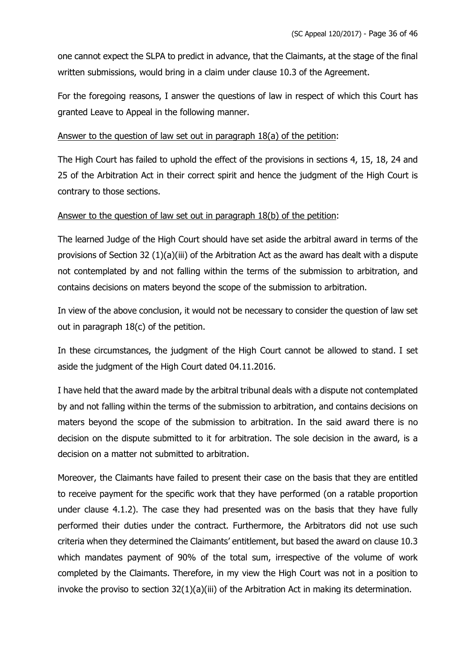one cannot expect the SLPA to predict in advance, that the Claimants, at the stage of the final written submissions, would bring in a claim under clause 10.3 of the Agreement.

For the foregoing reasons, I answer the questions of law in respect of which this Court has granted Leave to Appeal in the following manner.

### Answer to the question of law set out in paragraph 18(a) of the petition:

The High Court has failed to uphold the effect of the provisions in sections 4, 15, 18, 24 and 25 of the Arbitration Act in their correct spirit and hence the judgment of the High Court is contrary to those sections.

### Answer to the question of law set out in paragraph 18(b) of the petition:

The learned Judge of the High Court should have set aside the arbitral award in terms of the provisions of Section 32 (1)(a)(iii) of the Arbitration Act as the award has dealt with a dispute not contemplated by and not falling within the terms of the submission to arbitration, and contains decisions on maters beyond the scope of the submission to arbitration.

In view of the above conclusion, it would not be necessary to consider the question of law set out in paragraph 18(c) of the petition.

In these circumstances, the judgment of the High Court cannot be allowed to stand. I set aside the judgment of the High Court dated 04.11.2016.

I have held that the award made by the arbitral tribunal deals with a dispute not contemplated by and not falling within the terms of the submission to arbitration, and contains decisions on maters beyond the scope of the submission to arbitration. In the said award there is no decision on the dispute submitted to it for arbitration. The sole decision in the award, is a decision on a matter not submitted to arbitration.

Moreover, the Claimants have failed to present their case on the basis that they are entitled to receive payment for the specific work that they have performed (on a ratable proportion under clause 4.1.2). The case they had presented was on the basis that they have fully performed their duties under the contract. Furthermore, the Arbitrators did not use such criteria when they determined the Claimants' entitlement, but based the award on clause 10.3 which mandates payment of 90% of the total sum, irrespective of the volume of work completed by the Claimants. Therefore, in my view the High Court was not in a position to invoke the proviso to section  $32(1)(a)(iii)$  of the Arbitration Act in making its determination.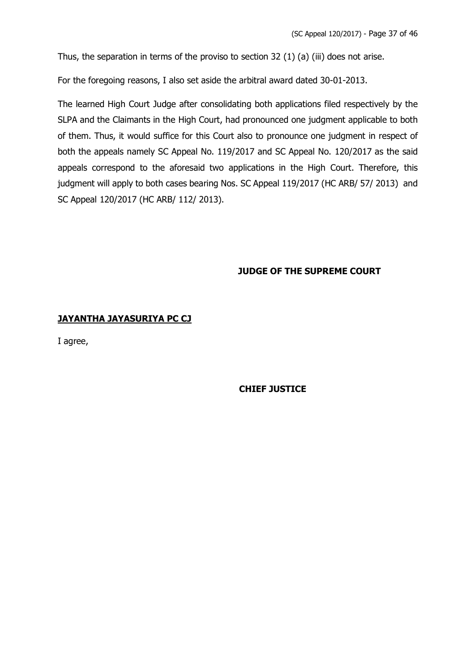Thus, the separation in terms of the proviso to section 32 (1) (a) (iii) does not arise.

For the foregoing reasons, I also set aside the arbitral award dated 30-01-2013.

The learned High Court Judge after consolidating both applications filed respectively by the SLPA and the Claimants in the High Court, had pronounced one judgment applicable to both of them. Thus, it would suffice for this Court also to pronounce one judgment in respect of both the appeals namely SC Appeal No. 119/2017 and SC Appeal No. 120/2017 as the said appeals correspond to the aforesaid two applications in the High Court. Therefore, this judgment will apply to both cases bearing Nos. SC Appeal 119/2017 (HC ARB/ 57/ 2013) and SC Appeal 120/2017 (HC ARB/ 112/ 2013).

# **JUDGE OF THE SUPREME COURT**

# **JAYANTHA JAYASURIYA PC CJ**

I agree,

# **CHIEF JUSTICE**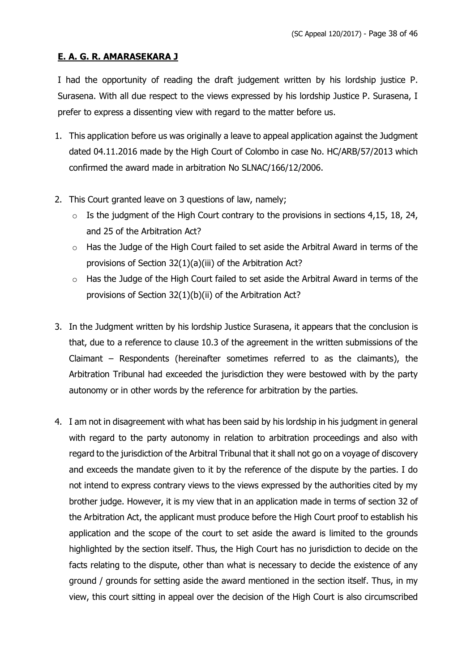### **E. A. G. R. AMARASEKARA J**

I had the opportunity of reading the draft judgement written by his lordship justice P. Surasena. With all due respect to the views expressed by his lordship Justice P. Surasena, I prefer to express a dissenting view with regard to the matter before us.

- 1. This application before us was originally a leave to appeal application against the Judgment dated 04.11.2016 made by the High Court of Colombo in case No. HC/ARB/57/2013 which confirmed the award made in arbitration No SLNAC/166/12/2006.
- 2. This Court granted leave on 3 questions of law, namely;
	- $\circ$  Is the judgment of the High Court contrary to the provisions in sections 4.15, 18, 24, and 25 of the Arbitration Act?
	- o Has the Judge of the High Court failed to set aside the Arbitral Award in terms of the provisions of Section 32(1)(a)(iii) of the Arbitration Act?
	- o Has the Judge of the High Court failed to set aside the Arbitral Award in terms of the provisions of Section 32(1)(b)(ii) of the Arbitration Act?
- 3. In the Judgment written by his lordship Justice Surasena, it appears that the conclusion is that, due to a reference to clause 10.3 of the agreement in the written submissions of the Claimant – Respondents (hereinafter sometimes referred to as the claimants), the Arbitration Tribunal had exceeded the jurisdiction they were bestowed with by the party autonomy or in other words by the reference for arbitration by the parties.
- 4. I am not in disagreement with what has been said by his lordship in his judgment in general with regard to the party autonomy in relation to arbitration proceedings and also with regard to the jurisdiction of the Arbitral Tribunal that it shall not go on a voyage of discovery and exceeds the mandate given to it by the reference of the dispute by the parties. I do not intend to express contrary views to the views expressed by the authorities cited by my brother judge. However, it is my view that in an application made in terms of section 32 of the Arbitration Act, the applicant must produce before the High Court proof to establish his application and the scope of the court to set aside the award is limited to the grounds highlighted by the section itself. Thus, the High Court has no jurisdiction to decide on the facts relating to the dispute, other than what is necessary to decide the existence of any ground / grounds for setting aside the award mentioned in the section itself. Thus, in my view, this court sitting in appeal over the decision of the High Court is also circumscribed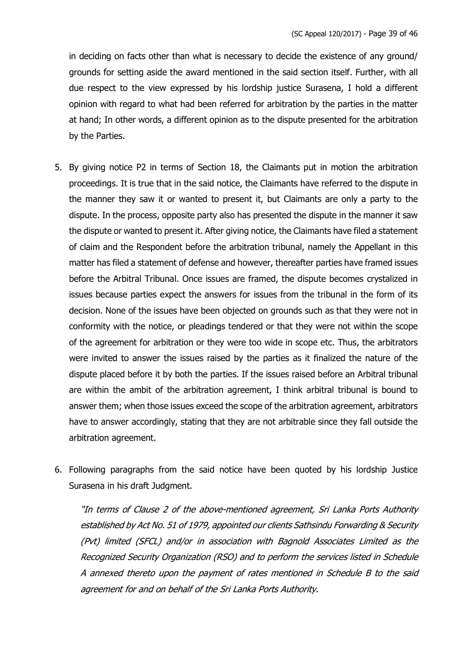in deciding on facts other than what is necessary to decide the existence of any ground/ grounds for setting aside the award mentioned in the said section itself. Further, with all due respect to the view expressed by his lordship justice Surasena, I hold a different opinion with regard to what had been referred for arbitration by the parties in the matter at hand; In other words, a different opinion as to the dispute presented for the arbitration by the Parties.

- 5. By giving notice P2 in terms of Section 18, the Claimants put in motion the arbitration proceedings. It is true that in the said notice, the Claimants have referred to the dispute in the manner they saw it or wanted to present it, but Claimants are only a party to the dispute. In the process, opposite party also has presented the dispute in the manner it saw the dispute or wanted to present it. After giving notice, the Claimants have filed a statement of claim and the Respondent before the arbitration tribunal, namely the Appellant in this matter has filed a statement of defense and however, thereafter parties have framed issues before the Arbitral Tribunal. Once issues are framed, the dispute becomes crystalized in issues because parties expect the answers for issues from the tribunal in the form of its decision. None of the issues have been objected on grounds such as that they were not in conformity with the notice, or pleadings tendered or that they were not within the scope of the agreement for arbitration or they were too wide in scope etc. Thus, the arbitrators were invited to answer the issues raised by the parties as it finalized the nature of the dispute placed before it by both the parties. If the issues raised before an Arbitral tribunal are within the ambit of the arbitration agreement, I think arbitral tribunal is bound to answer them; when those issues exceed the scope of the arbitration agreement, arbitrators have to answer accordingly, stating that they are not arbitrable since they fall outside the arbitration agreement.
- 6. Following paragraphs from the said notice have been quoted by his lordship Justice Surasena in his draft Judgment.

"In terms of Clause 2 of the above-mentioned agreement, Sri Lanka Ports Authority established by Act No. 51 of 1979, appointed our clients Sathsindu Forwarding & Security (Pvt) limited (SFCL) and/or in association with Bagnold Associates Limited as the Recognized Security Organization (RSO) and to perform the services listed in Schedule A annexed thereto upon the payment of rates mentioned in Schedule B to the said agreement for and on behalf of the Sri Lanka Ports Authority.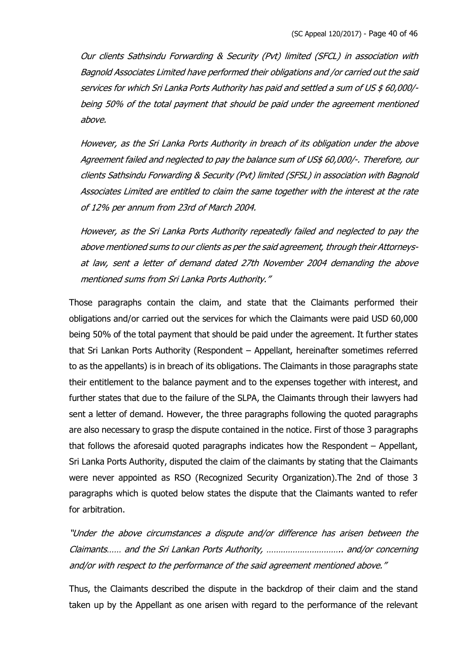Our clients Sathsindu Forwarding & Security (Pvt) limited (SFCL) in association with Bagnold Associates Limited have performed their obligations and /or carried out the said services for which Sri Lanka Ports Authority has paid and settled a sum of US \$ 60,000/ being 50% of the total payment that should be paid under the agreement mentioned above.

However, as the Sri Lanka Ports Authority in breach of its obligation under the above Agreement failed and neglected to pay the balance sum of US\$ 60,000/-. Therefore, our clients Sathsindu Forwarding & Security (Pvt) limited (SFSL) in association with Bagnold Associates Limited are entitled to claim the same together with the interest at the rate of 12% per annum from 23rd of March 2004.

However, as the Sri Lanka Ports Authority repeatedly failed and neglected to pay the above mentioned sums to our clients as per the said agreement, through their Attorneysat law, sent a letter of demand dated 27th November 2004 demanding the above mentioned sums from Sri Lanka Ports Authority."

Those paragraphs contain the claim, and state that the Claimants performed their obligations and/or carried out the services for which the Claimants were paid USD 60,000 being 50% of the total payment that should be paid under the agreement. It further states that Sri Lankan Ports Authority (Respondent – Appellant, hereinafter sometimes referred to as the appellants) is in breach of its obligations. The Claimants in those paragraphs state their entitlement to the balance payment and to the expenses together with interest, and further states that due to the failure of the SLPA, the Claimants through their lawyers had sent a letter of demand. However, the three paragraphs following the quoted paragraphs are also necessary to grasp the dispute contained in the notice. First of those 3 paragraphs that follows the aforesaid quoted paragraphs indicates how the Respondent – Appellant, Sri Lanka Ports Authority, disputed the claim of the claimants by stating that the Claimants were never appointed as RSO (Recognized Security Organization).The 2nd of those 3 paragraphs which is quoted below states the dispute that the Claimants wanted to refer for arbitration.

"Under the above circumstances a dispute and/or difference has arisen between the Claimants…… and the Sri Lankan Ports Authority, ………………………….. and/or concerning and/or with respect to the performance of the said agreement mentioned above."

Thus, the Claimants described the dispute in the backdrop of their claim and the stand taken up by the Appellant as one arisen with regard to the performance of the relevant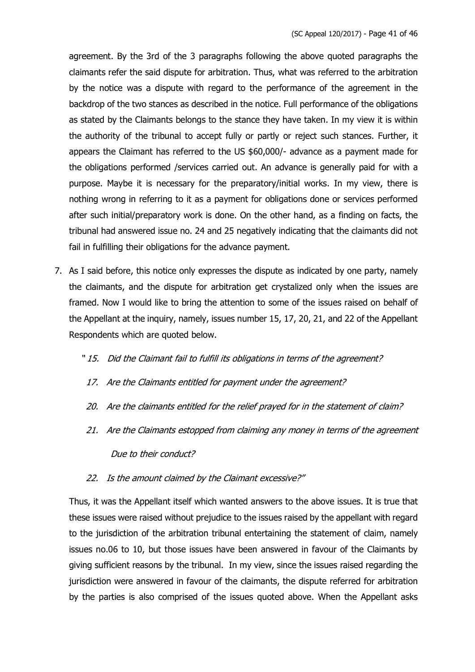agreement. By the 3rd of the 3 paragraphs following the above quoted paragraphs the claimants refer the said dispute for arbitration. Thus, what was referred to the arbitration by the notice was a dispute with regard to the performance of the agreement in the backdrop of the two stances as described in the notice. Full performance of the obligations as stated by the Claimants belongs to the stance they have taken. In my view it is within the authority of the tribunal to accept fully or partly or reject such stances. Further, it appears the Claimant has referred to the US \$60,000/- advance as a payment made for the obligations performed /services carried out. An advance is generally paid for with a purpose. Maybe it is necessary for the preparatory/initial works. In my view, there is nothing wrong in referring to it as a payment for obligations done or services performed after such initial/preparatory work is done. On the other hand, as a finding on facts, the tribunal had answered issue no. 24 and 25 negatively indicating that the claimants did not fail in fulfilling their obligations for the advance payment.

- 7. As I said before, this notice only expresses the dispute as indicated by one party, namely the claimants, and the dispute for arbitration get crystalized only when the issues are framed. Now I would like to bring the attention to some of the issues raised on behalf of the Appellant at the inquiry, namely, issues number 15, 17, 20, 21, and 22 of the Appellant Respondents which are quoted below.
	- " 15. Did the Claimant fail to fulfill its obligations in terms of the agreement?
		- 17. Are the Claimants entitled for payment under the agreement?
	- 20. Are the claimants entitled for the relief prayed for in the statement of claim?
	- 21. Are the Claimants estopped from claiming any money in terms of the agreement Due to their conduct?
	- 22. Is the amount claimed by the Claimant excessive?"

Thus, it was the Appellant itself which wanted answers to the above issues. It is true that these issues were raised without prejudice to the issues raised by the appellant with regard to the jurisdiction of the arbitration tribunal entertaining the statement of claim, namely issues no.06 to 10, but those issues have been answered in favour of the Claimants by giving sufficient reasons by the tribunal. In my view, since the issues raised regarding the jurisdiction were answered in favour of the claimants, the dispute referred for arbitration by the parties is also comprised of the issues quoted above. When the Appellant asks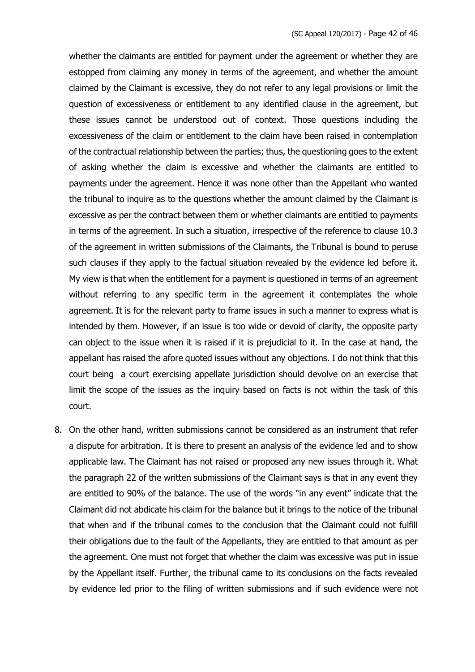whether the claimants are entitled for payment under the agreement or whether they are estopped from claiming any money in terms of the agreement, and whether the amount claimed by the Claimant is excessive, they do not refer to any legal provisions or limit the question of excessiveness or entitlement to any identified clause in the agreement, but these issues cannot be understood out of context. Those questions including the excessiveness of the claim or entitlement to the claim have been raised in contemplation of the contractual relationship between the parties; thus, the questioning goes to the extent of asking whether the claim is excessive and whether the claimants are entitled to payments under the agreement. Hence it was none other than the Appellant who wanted the tribunal to inquire as to the questions whether the amount claimed by the Claimant is excessive as per the contract between them or whether claimants are entitled to payments in terms of the agreement. In such a situation, irrespective of the reference to clause 10.3 of the agreement in written submissions of the Claimants, the Tribunal is bound to peruse such clauses if they apply to the factual situation revealed by the evidence led before it. My view is that when the entitlement for a payment is questioned in terms of an agreement without referring to any specific term in the agreement it contemplates the whole agreement. It is for the relevant party to frame issues in such a manner to express what is intended by them. However, if an issue is too wide or devoid of clarity, the opposite party can object to the issue when it is raised if it is prejudicial to it. In the case at hand, the appellant has raised the afore quoted issues without any objections. I do not think that this court being a court exercising appellate jurisdiction should devolve on an exercise that limit the scope of the issues as the inquiry based on facts is not within the task of this court.

8. On the other hand, written submissions cannot be considered as an instrument that refer a dispute for arbitration. It is there to present an analysis of the evidence led and to show applicable law. The Claimant has not raised or proposed any new issues through it. What the paragraph 22 of the written submissions of the Claimant says is that in any event they are entitled to 90% of the balance. The use of the words "in any event" indicate that the Claimant did not abdicate his claim for the balance but it brings to the notice of the tribunal that when and if the tribunal comes to the conclusion that the Claimant could not fulfill their obligations due to the fault of the Appellants, they are entitled to that amount as per the agreement. One must not forget that whether the claim was excessive was put in issue by the Appellant itself. Further, the tribunal came to its conclusions on the facts revealed by evidence led prior to the filing of written submissions and if such evidence were not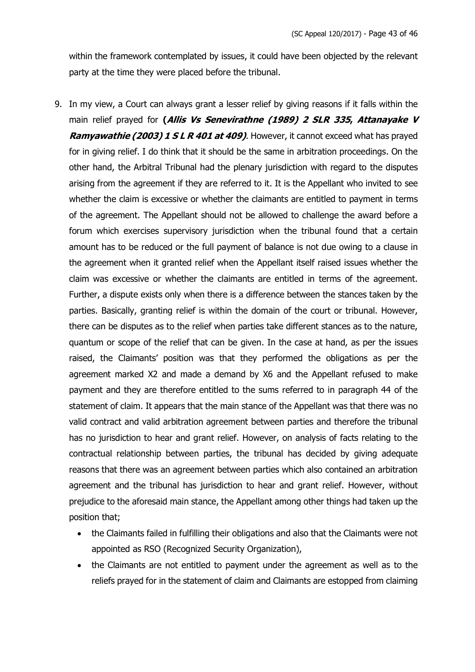within the framework contemplated by issues, it could have been objected by the relevant party at the time they were placed before the tribunal.

- 9. In my view, a Court can always grant a lesser relief by giving reasons if it falls within the main relief prayed for **(Allis Vs Senevirathne (1989) 2 SLR 335, Attanayake V Ramyawathie (2003) 1 S L R 401 at 409)**. However, it cannot exceed what has prayed for in giving relief. I do think that it should be the same in arbitration proceedings. On the other hand, the Arbitral Tribunal had the plenary jurisdiction with regard to the disputes arising from the agreement if they are referred to it. It is the Appellant who invited to see whether the claim is excessive or whether the claimants are entitled to payment in terms of the agreement. The Appellant should not be allowed to challenge the award before a forum which exercises supervisory jurisdiction when the tribunal found that a certain amount has to be reduced or the full payment of balance is not due owing to a clause in the agreement when it granted relief when the Appellant itself raised issues whether the claim was excessive or whether the claimants are entitled in terms of the agreement. Further, a dispute exists only when there is a difference between the stances taken by the parties. Basically, granting relief is within the domain of the court or tribunal. However, there can be disputes as to the relief when parties take different stances as to the nature, quantum or scope of the relief that can be given. In the case at hand, as per the issues raised, the Claimants' position was that they performed the obligations as per the agreement marked X2 and made a demand by X6 and the Appellant refused to make payment and they are therefore entitled to the sums referred to in paragraph 44 of the statement of claim. It appears that the main stance of the Appellant was that there was no valid contract and valid arbitration agreement between parties and therefore the tribunal has no jurisdiction to hear and grant relief. However, on analysis of facts relating to the contractual relationship between parties, the tribunal has decided by giving adequate reasons that there was an agreement between parties which also contained an arbitration agreement and the tribunal has jurisdiction to hear and grant relief. However, without prejudice to the aforesaid main stance, the Appellant among other things had taken up the position that;
	- the Claimants failed in fulfilling their obligations and also that the Claimants were not appointed as RSO (Recognized Security Organization),
	- the Claimants are not entitled to payment under the agreement as well as to the reliefs prayed for in the statement of claim and Claimants are estopped from claiming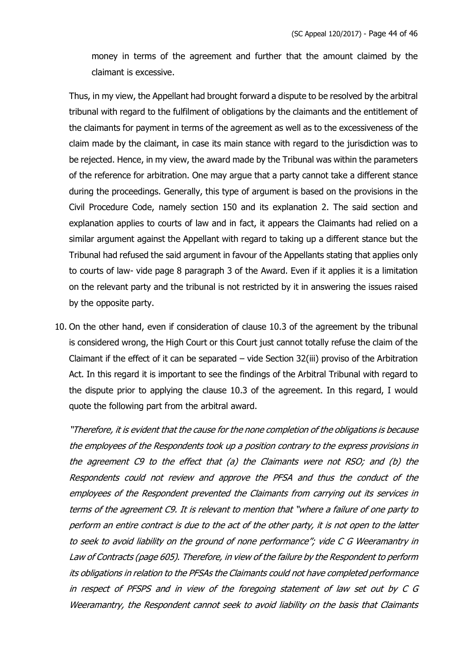money in terms of the agreement and further that the amount claimed by the claimant is excessive.

Thus, in my view, the Appellant had brought forward a dispute to be resolved by the arbitral tribunal with regard to the fulfilment of obligations by the claimants and the entitlement of the claimants for payment in terms of the agreement as well as to the excessiveness of the claim made by the claimant, in case its main stance with regard to the jurisdiction was to be rejected. Hence, in my view, the award made by the Tribunal was within the parameters of the reference for arbitration. One may argue that a party cannot take a different stance during the proceedings. Generally, this type of argument is based on the provisions in the Civil Procedure Code, namely section 150 and its explanation 2. The said section and explanation applies to courts of law and in fact, it appears the Claimants had relied on a similar argument against the Appellant with regard to taking up a different stance but the Tribunal had refused the said argument in favour of the Appellants stating that applies only to courts of law- vide page 8 paragraph 3 of the Award. Even if it applies it is a limitation on the relevant party and the tribunal is not restricted by it in answering the issues raised by the opposite party.

10. On the other hand, even if consideration of clause 10.3 of the agreement by the tribunal is considered wrong, the High Court or this Court just cannot totally refuse the claim of the Claimant if the effect of it can be separated – vide Section 32(iii) proviso of the Arbitration Act. In this regard it is important to see the findings of the Arbitral Tribunal with regard to the dispute prior to applying the clause 10.3 of the agreement. In this regard, I would quote the following part from the arbitral award.

"Therefore, it is evident that the cause for the none completion of the obligations is because the employees of the Respondents took up a position contrary to the express provisions in the agreement C9 to the effect that (a) the Claimants were not RSO; and (b) the Respondents could not review and approve the PFSA and thus the conduct of the employees of the Respondent prevented the Claimants from carrying out its services in terms of the agreement C9. It is relevant to mention that "where a failure of one party to perform an entire contract is due to the act of the other party, it is not open to the latter to seek to avoid liability on the ground of none performance"; vide C G Weeramantry in Law of Contracts (page 605). Therefore, in view of the failure by the Respondent to perform its obligations in relation to the PFSAs the Claimants could not have completed performance in respect of PFSPS and in view of the foregoing statement of law set out by C G Weeramantry, the Respondent cannot seek to avoid liability on the basis that Claimants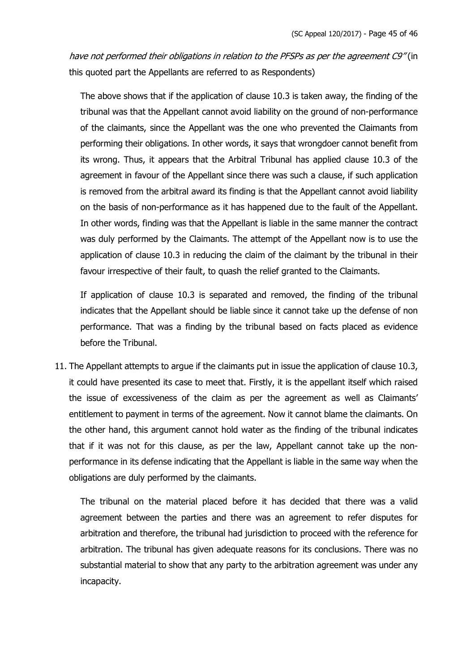have not performed their obligations in relation to the PFSPs as per the agreement C9" (in this quoted part the Appellants are referred to as Respondents)

The above shows that if the application of clause 10.3 is taken away, the finding of the tribunal was that the Appellant cannot avoid liability on the ground of non-performance of the claimants, since the Appellant was the one who prevented the Claimants from performing their obligations. In other words, it says that wrongdoer cannot benefit from its wrong. Thus, it appears that the Arbitral Tribunal has applied clause 10.3 of the agreement in favour of the Appellant since there was such a clause, if such application is removed from the arbitral award its finding is that the Appellant cannot avoid liability on the basis of non-performance as it has happened due to the fault of the Appellant. In other words, finding was that the Appellant is liable in the same manner the contract was duly performed by the Claimants. The attempt of the Appellant now is to use the application of clause 10.3 in reducing the claim of the claimant by the tribunal in their favour irrespective of their fault, to quash the relief granted to the Claimants.

If application of clause 10.3 is separated and removed, the finding of the tribunal indicates that the Appellant should be liable since it cannot take up the defense of non performance. That was a finding by the tribunal based on facts placed as evidence before the Tribunal.

11. The Appellant attempts to argue if the claimants put in issue the application of clause 10.3, it could have presented its case to meet that. Firstly, it is the appellant itself which raised the issue of excessiveness of the claim as per the agreement as well as Claimants' entitlement to payment in terms of the agreement. Now it cannot blame the claimants. On the other hand, this argument cannot hold water as the finding of the tribunal indicates that if it was not for this clause, as per the law, Appellant cannot take up the nonperformance in its defense indicating that the Appellant is liable in the same way when the obligations are duly performed by the claimants.

The tribunal on the material placed before it has decided that there was a valid agreement between the parties and there was an agreement to refer disputes for arbitration and therefore, the tribunal had jurisdiction to proceed with the reference for arbitration. The tribunal has given adequate reasons for its conclusions. There was no substantial material to show that any party to the arbitration agreement was under any incapacity.